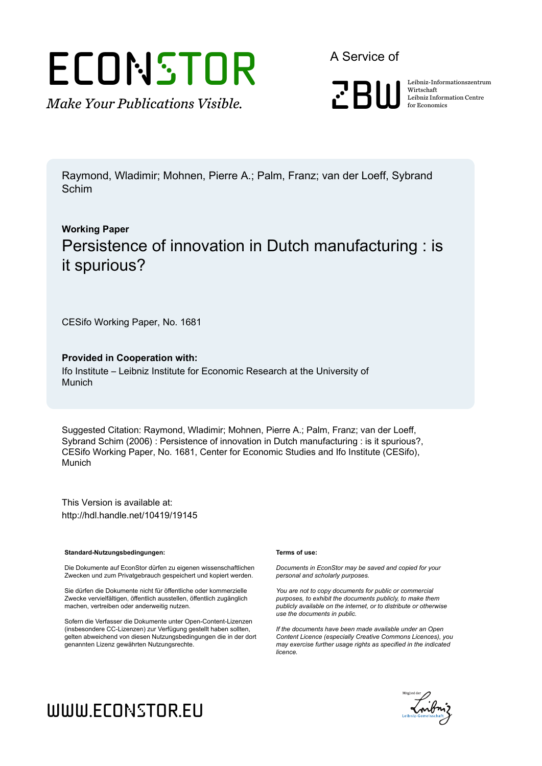# ECONSTOR

*Make Your Publications Visible.*

A Service of



Wirtschaft Leibniz Information Centre for Economics

Raymond, Wladimir; Mohnen, Pierre A.; Palm, Franz; van der Loeff, Sybrand Schim

## **Working Paper** Persistence of innovation in Dutch manufacturing : is it spurious?

CESifo Working Paper, No. 1681

#### **Provided in Cooperation with:**

Ifo Institute – Leibniz Institute for Economic Research at the University of Munich

Suggested Citation: Raymond, Wladimir; Mohnen, Pierre A.; Palm, Franz; van der Loeff, Sybrand Schim (2006) : Persistence of innovation in Dutch manufacturing : is it spurious?, CESifo Working Paper, No. 1681, Center for Economic Studies and Ifo Institute (CESifo), Munich

This Version is available at: http://hdl.handle.net/10419/19145

#### **Standard-Nutzungsbedingungen:**

Die Dokumente auf EconStor dürfen zu eigenen wissenschaftlichen Zwecken und zum Privatgebrauch gespeichert und kopiert werden.

Sie dürfen die Dokumente nicht für öffentliche oder kommerzielle Zwecke vervielfältigen, öffentlich ausstellen, öffentlich zugänglich machen, vertreiben oder anderweitig nutzen.

Sofern die Verfasser die Dokumente unter Open-Content-Lizenzen (insbesondere CC-Lizenzen) zur Verfügung gestellt haben sollten, gelten abweichend von diesen Nutzungsbedingungen die in der dort genannten Lizenz gewährten Nutzungsrechte.

#### **Terms of use:**

*Documents in EconStor may be saved and copied for your personal and scholarly purposes.*

*You are not to copy documents for public or commercial purposes, to exhibit the documents publicly, to make them publicly available on the internet, or to distribute or otherwise use the documents in public.*

*If the documents have been made available under an Open Content Licence (especially Creative Commons Licences), you may exercise further usage rights as specified in the indicated licence.*



# www.econstor.eu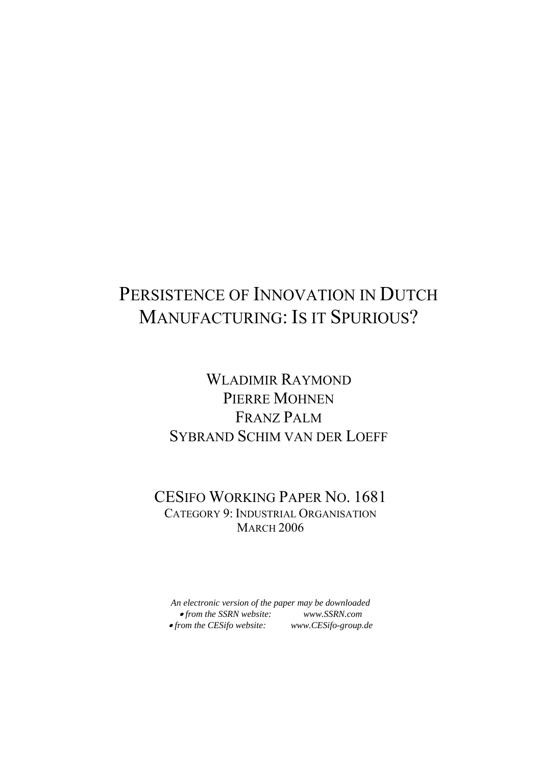# PERSISTENCE OF INNOVATION IN DUTCH MANUFACTURING: IS IT SPURIOUS?

## WLADIMIR RAYMOND PIERRE MOHNEN FRANZ PALM SYBRAND SCHIM VAN DER LOEFF

## CESIFO WORKING PAPER NO. 1681 CATEGORY 9: INDUSTRIAL ORGANISATION **MARCH 2006**

*An electronic version of the paper may be downloaded*  • *from the SSRN website: www.SSRN.com*  • from the CESifo website: www.CESifo-group.de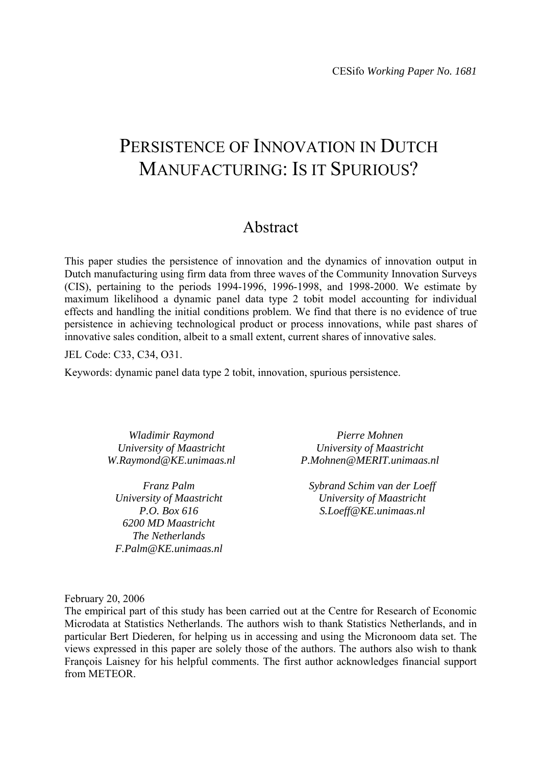## PERSISTENCE OF INNOVATION IN DUTCH MANUFACTURING: IS IT SPURIOUS?

## Abstract

This paper studies the persistence of innovation and the dynamics of innovation output in Dutch manufacturing using firm data from three waves of the Community Innovation Surveys (CIS), pertaining to the periods 1994-1996, 1996-1998, and 1998-2000. We estimate by maximum likelihood a dynamic panel data type 2 tobit model accounting for individual effects and handling the initial conditions problem. We find that there is no evidence of true persistence in achieving technological product or process innovations, while past shares of innovative sales condition, albeit to a small extent, current shares of innovative sales.

JEL Code: C33, C34, O31.

Keywords: dynamic panel data type 2 tobit, innovation, spurious persistence.

*Wladimir Raymond University of Maastricht W.Raymond@KE.unimaas.nl* 

*Franz Palm University of Maastricht P.O. Box 616 6200 MD Maastricht The Netherlands F.Palm@KE.unimaas.nl* 

*Pierre Mohnen University of Maastricht P.Mohnen@MERIT.unimaas.nl* 

*Sybrand Schim van der Loeff University of Maastricht S.Loeff@KE.unimaas.nl* 

February 20, 2006

The empirical part of this study has been carried out at the Centre for Research of Economic Microdata at Statistics Netherlands. The authors wish to thank Statistics Netherlands, and in particular Bert Diederen, for helping us in accessing and using the Micronoom data set. The views expressed in this paper are solely those of the authors. The authors also wish to thank François Laisney for his helpful comments. The first author acknowledges financial support from METEOR.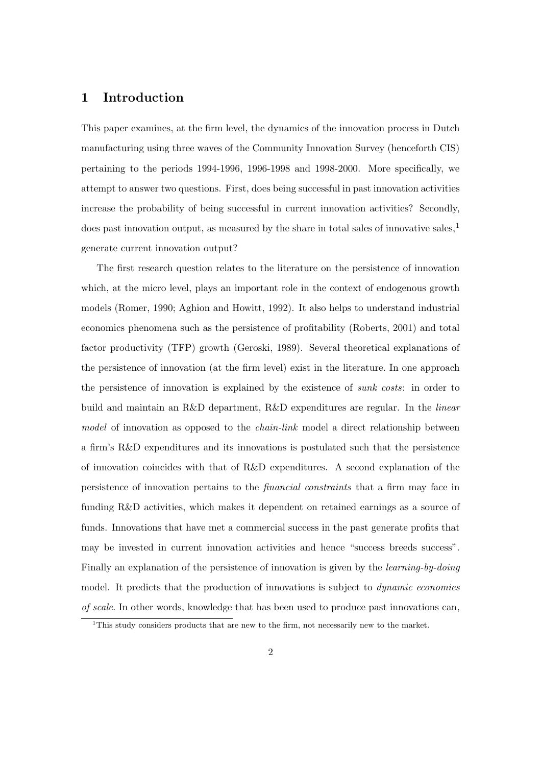#### 1 Introduction

This paper examines, at the firm level, the dynamics of the innovation process in Dutch manufacturing using three waves of the Community Innovation Survey (henceforth CIS) pertaining to the periods 1994-1996, 1996-1998 and 1998-2000. More specifically, we attempt to answer two questions. First, does being successful in past innovation activities increase the probability of being successful in current innovation activities? Secondly, does past innovation output, as measured by the share in total sales of innovative sales,  $1$ generate current innovation output?

The first research question relates to the literature on the persistence of innovation which, at the micro level, plays an important role in the context of endogenous growth models (Romer, 1990; Aghion and Howitt, 1992). It also helps to understand industrial economics phenomena such as the persistence of profitability (Roberts, 2001) and total factor productivity (TFP) growth (Geroski, 1989). Several theoretical explanations of the persistence of innovation (at the firm level) exist in the literature. In one approach the persistence of innovation is explained by the existence of sunk costs: in order to build and maintain an R&D department, R&D expenditures are regular. In the linear model of innovation as opposed to the *chain-link* model a direct relationship between a firm's R&D expenditures and its innovations is postulated such that the persistence of innovation coincides with that of R&D expenditures. A second explanation of the persistence of innovation pertains to the financial constraints that a firm may face in funding R&D activities, which makes it dependent on retained earnings as a source of funds. Innovations that have met a commercial success in the past generate profits that may be invested in current innovation activities and hence "success breeds success". Finally an explanation of the persistence of innovation is given by the *learning-by-doing* model. It predicts that the production of innovations is subject to *dynamic economies* of scale. In other words, knowledge that has been used to produce past innovations can,

<sup>&</sup>lt;sup>1</sup>This study considers products that are new to the firm, not necessarily new to the market.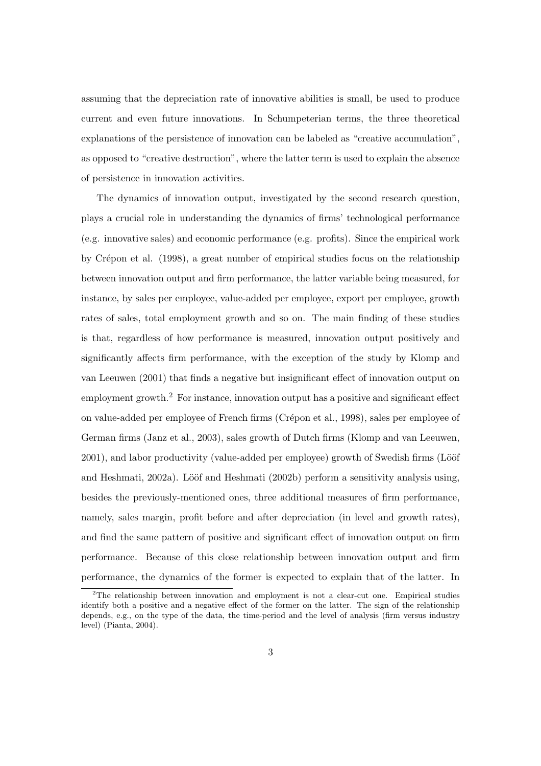assuming that the depreciation rate of innovative abilities is small, be used to produce current and even future innovations. In Schumpeterian terms, the three theoretical explanations of the persistence of innovation can be labeled as "creative accumulation", as opposed to "creative destruction", where the latter term is used to explain the absence of persistence in innovation activities.

The dynamics of innovation output, investigated by the second research question, plays a crucial role in understanding the dynamics of firms' technological performance (e.g. innovative sales) and economic performance (e.g. profits). Since the empirical work by Crépon et al. (1998), a great number of empirical studies focus on the relationship between innovation output and firm performance, the latter variable being measured, for instance, by sales per employee, value-added per employee, export per employee, growth rates of sales, total employment growth and so on. The main finding of these studies is that, regardless of how performance is measured, innovation output positively and significantly affects firm performance, with the exception of the study by Klomp and van Leeuwen (2001) that finds a negative but insignificant effect of innovation output on employment growth.<sup>2</sup> For instance, innovation output has a positive and significant effect on value-added per employee of French firms (Crépon et al., 1998), sales per employee of German firms (Janz et al., 2003), sales growth of Dutch firms (Klomp and van Leeuwen, 2001), and labor productivity (value-added per employee) growth of Swedish firms (Lööf and Heshmati,  $2002a$ ). Lööf and Heshmati  $(2002b)$  perform a sensitivity analysis using, besides the previously-mentioned ones, three additional measures of firm performance, namely, sales margin, profit before and after depreciation (in level and growth rates), and find the same pattern of positive and significant effect of innovation output on firm performance. Because of this close relationship between innovation output and firm performance, the dynamics of the former is expected to explain that of the latter. In

<sup>2</sup>The relationship between innovation and employment is not a clear-cut one. Empirical studies identify both a positive and a negative effect of the former on the latter. The sign of the relationship depends, e.g., on the type of the data, the time-period and the level of analysis (firm versus industry level) (Pianta, 2004).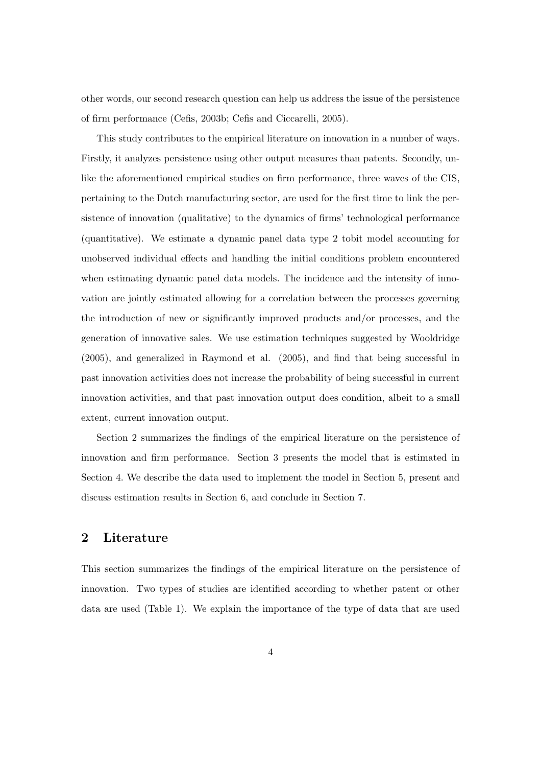other words, our second research question can help us address the issue of the persistence of firm performance (Cefis, 2003b; Cefis and Ciccarelli, 2005).

This study contributes to the empirical literature on innovation in a number of ways. Firstly, it analyzes persistence using other output measures than patents. Secondly, unlike the aforementioned empirical studies on firm performance, three waves of the CIS, pertaining to the Dutch manufacturing sector, are used for the first time to link the persistence of innovation (qualitative) to the dynamics of firms' technological performance (quantitative). We estimate a dynamic panel data type 2 tobit model accounting for unobserved individual effects and handling the initial conditions problem encountered when estimating dynamic panel data models. The incidence and the intensity of innovation are jointly estimated allowing for a correlation between the processes governing the introduction of new or significantly improved products and/or processes, and the generation of innovative sales. We use estimation techniques suggested by Wooldridge (2005), and generalized in Raymond et al. (2005), and find that being successful in past innovation activities does not increase the probability of being successful in current innovation activities, and that past innovation output does condition, albeit to a small extent, current innovation output.

Section 2 summarizes the findings of the empirical literature on the persistence of innovation and firm performance. Section 3 presents the model that is estimated in Section 4. We describe the data used to implement the model in Section 5, present and discuss estimation results in Section 6, and conclude in Section 7.

#### 2 Literature

This section summarizes the findings of the empirical literature on the persistence of innovation. Two types of studies are identified according to whether patent or other data are used (Table 1). We explain the importance of the type of data that are used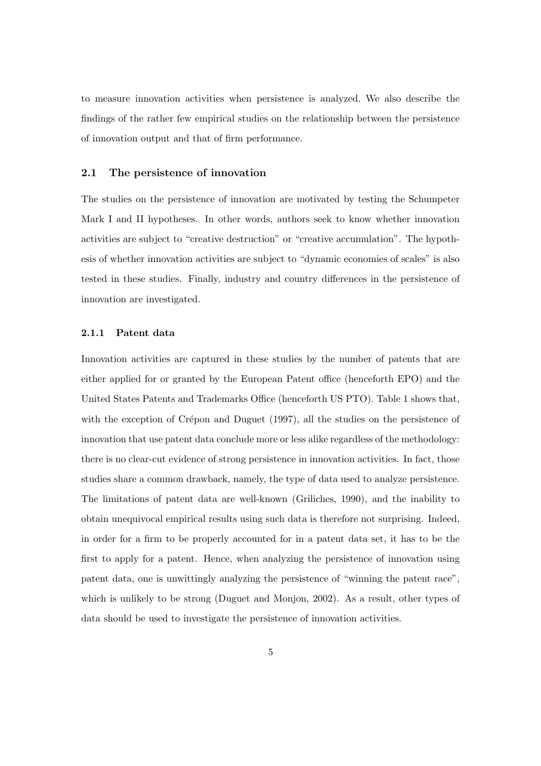to measure innovation activities when persistence is analyzed. We also describe the findings of the rather few empirical studies on the relationship between the persistence of innovation output and that of firm performance.

#### 2.1 The persistence of innovation

The studies on the persistence of innovation are motivated by testing the Schumpeter Mark I and II hypotheses. In other words, authors seek to know whether innovation activities are subject to "creative destruction" or "creative accumulation". The hypothesis of whether innovation activities are subject to "dynamic economies of scales" is also tested in these studies. Finally, industry and country differences in the persistence of innovation are investigated.

#### 2.1.1 Patent data

Innovation activities are captured in these studies by the number of patents that are either applied for or granted by the European Patent office (henceforth EPO) and the United States Patents and Trademarks Office (henceforth US PTO). Table 1 shows that, with the exception of Crépon and Duguet  $(1997)$ , all the studies on the persistence of innovation that use patent data conclude more or less alike regardless of the methodology: there is no clear-cut evidence of strong persistence in innovation activities. In fact, those studies share a common drawback, namely, the type of data used to analyze persistence. The limitations of patent data are well-known (Griliches, 1990), and the inability to obtain unequivocal empirical results using such data is therefore not surprising. Indeed, in order for a firm to be properly accounted for in a patent data set, it has to be the first to apply for a patent. Hence, when analyzing the persistence of innovation using patent data, one is unwittingly analyzing the persistence of "winning the patent race", which is unlikely to be strong (Duguet and Monjon, 2002). As a result, other types of data should be used to investigate the persistence of innovation activities.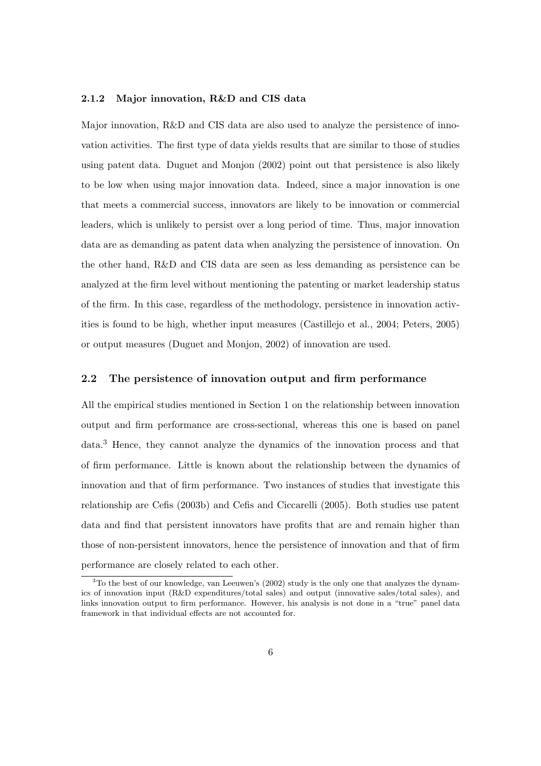#### 2.1.2 Major innovation, R&D and CIS data

Major innovation, R&D and CIS data are also used to analyze the persistence of innovation activities. The first type of data yields results that are similar to those of studies using patent data. Duguet and Monjon (2002) point out that persistence is also likely to be low when using major innovation data. Indeed, since a major innovation is one that meets a commercial success, innovators are likely to be innovation or commercial leaders, which is unlikely to persist over a long period of time. Thus, major innovation data are as demanding as patent data when analyzing the persistence of innovation. On the other hand, R&D and CIS data are seen as less demanding as persistence can be analyzed at the firm level without mentioning the patenting or market leadership status of the firm. In this case, regardless of the methodology, persistence in innovation activities is found to be high, whether input measures (Castillejo et al., 2004; Peters, 2005) or output measures (Duguet and Monjon, 2002) of innovation are used.

#### 2.2 The persistence of innovation output and firm performance

All the empirical studies mentioned in Section 1 on the relationship between innovation output and firm performance are cross-sectional, whereas this one is based on panel data.<sup>3</sup> Hence, they cannot analyze the dynamics of the innovation process and that of firm performance. Little is known about the relationship between the dynamics of innovation and that of firm performance. Two instances of studies that investigate this relationship are Cefis (2003b) and Cefis and Ciccarelli (2005). Both studies use patent data and find that persistent innovators have profits that are and remain higher than those of non-persistent innovators, hence the persistence of innovation and that of firm performance are closely related to each other.

<sup>&</sup>lt;sup>3</sup>To the best of our knowledge, van Leeuwen's (2002) study is the only one that analyzes the dynamics of innovation input (R&D expenditures/total sales) and output (innovative sales/total sales), and links innovation output to firm performance. However, his analysis is not done in a "true" panel data framework in that individual effects are not accounted for.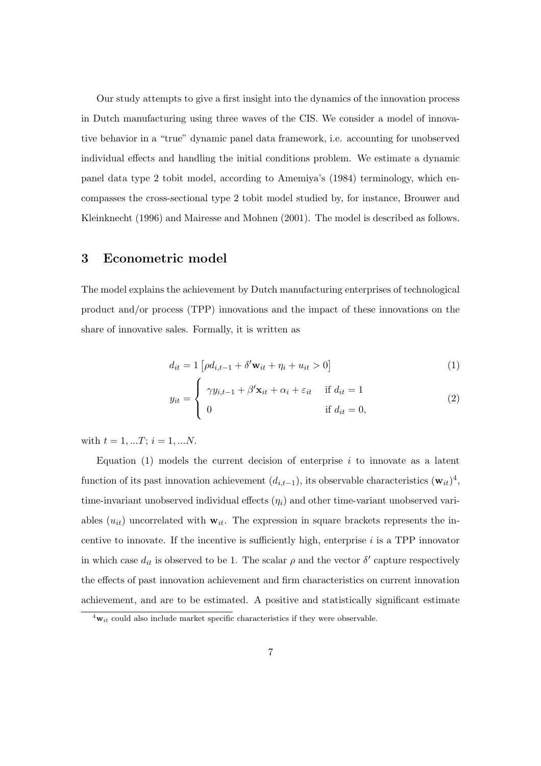Our study attempts to give a first insight into the dynamics of the innovation process in Dutch manufacturing using three waves of the CIS. We consider a model of innovative behavior in a "true" dynamic panel data framework, i.e. accounting for unobserved individual effects and handling the initial conditions problem. We estimate a dynamic panel data type 2 tobit model, according to Amemiya's (1984) terminology, which encompasses the cross-sectional type 2 tobit model studied by, for instance, Brouwer and Kleinknecht (1996) and Mairesse and Mohnen (2001). The model is described as follows.

#### 3 Econometric model

The model explains the achievement by Dutch manufacturing enterprises of technological product and/or process (TPP) innovations and the impact of these innovations on the share of innovative sales. Formally, it is written as

$$
d_{it} = 1 \left[ \rho d_{i,t-1} + \delta' \mathbf{w}_{it} + \eta_i + u_{it} > 0 \right]
$$
 (1)

$$
y_{it} = \begin{cases} \gamma y_{i,t-1} + \beta' \mathbf{x}_{it} + \alpha_i + \varepsilon_{it} & \text{if } d_{it} = 1 \\ 0 & \text{if } d_{it} = 0, \end{cases}
$$
 (2)

with  $t = 1, ...T$ ;  $i = 1, ...N$ .

Equation  $(1)$  models the current decision of enterprise i to innovate as a latent function of its past innovation achievement  $(d_{i,t-1})$ , its observable characteristics  $(\mathbf{w}_{it})^4$ , time-invariant unobserved individual effects  $(\eta_i)$  and other time-variant unobserved variables  $(u_{it})$  uncorrelated with  $w_{it}$ . The expression in square brackets represents the incentive to innovate. If the incentive is sufficiently high, enterprise  $i$  is a TPP innovator in which case  $d_{it}$  is observed to be 1. The scalar  $\rho$  and the vector  $\delta'$  capture respectively the effects of past innovation achievement and firm characteristics on current innovation achievement, and are to be estimated. A positive and statistically significant estimate

 ${}^{4}\mathbf{w}_{it}$  could also include market specific characteristics if they were observable.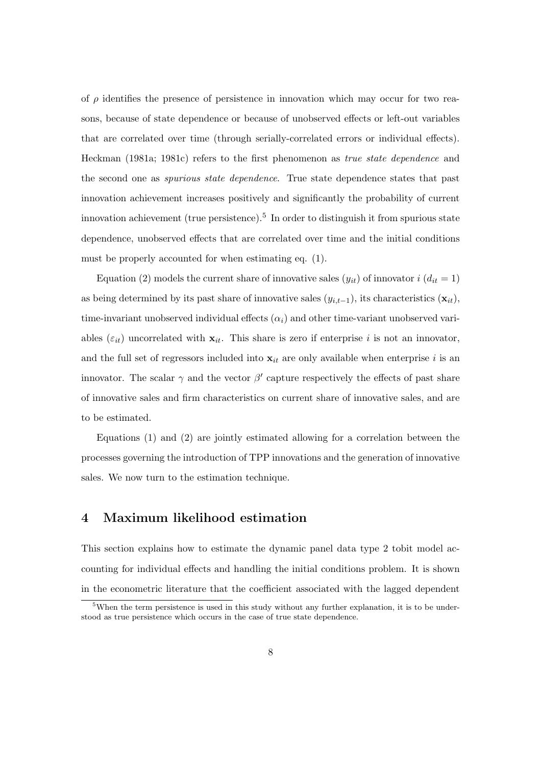of  $\rho$  identifies the presence of persistence in innovation which may occur for two reasons, because of state dependence or because of unobserved effects or left-out variables that are correlated over time (through serially-correlated errors or individual effects). Heckman (1981a; 1981c) refers to the first phenomenon as true state dependence and the second one as spurious state dependence. True state dependence states that past innovation achievement increases positively and significantly the probability of current innovation achievement (true persistence).<sup>5</sup> In order to distinguish it from spurious state dependence, unobserved effects that are correlated over time and the initial conditions must be properly accounted for when estimating eq. (1).

Equation (2) models the current share of innovative sales  $(y_{it})$  of innovator  $i (d_{it} = 1)$ as being determined by its past share of innovative sales  $(y_{i,t-1})$ , its characteristics  $(\mathbf{x}_{it})$ , time-invariant unobserved individual effects  $(\alpha_i)$  and other time-variant unobserved variables ( $\varepsilon_{it}$ ) uncorrelated with  $\mathbf{x}_{it}$ . This share is zero if enterprise i is not an innovator, and the full set of regressors included into  $x_{it}$  are only available when enterprise i is an innovator. The scalar  $\gamma$  and the vector  $\beta'$  capture respectively the effects of past share of innovative sales and firm characteristics on current share of innovative sales, and are to be estimated.

Equations (1) and (2) are jointly estimated allowing for a correlation between the processes governing the introduction of TPP innovations and the generation of innovative sales. We now turn to the estimation technique.

#### 4 Maximum likelihood estimation

This section explains how to estimate the dynamic panel data type 2 tobit model accounting for individual effects and handling the initial conditions problem. It is shown in the econometric literature that the coefficient associated with the lagged dependent

<sup>&</sup>lt;sup>5</sup>When the term persistence is used in this study without any further explanation, it is to be understood as true persistence which occurs in the case of true state dependence.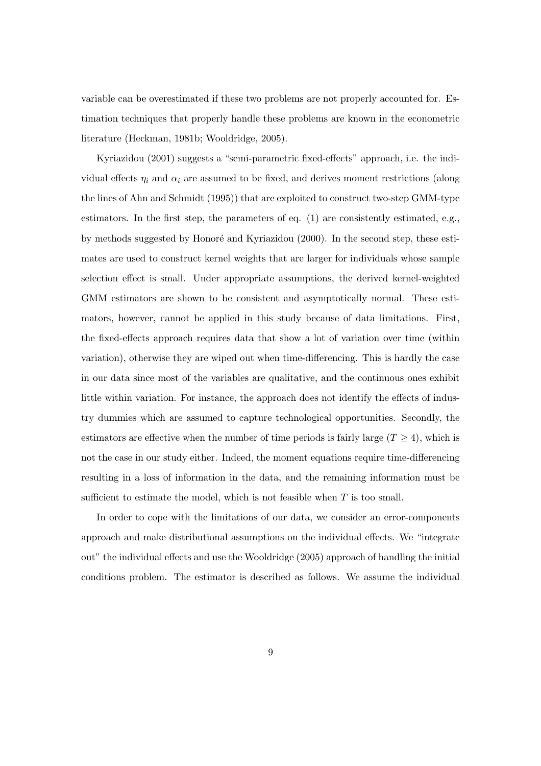variable can be overestimated if these two problems are not properly accounted for. Estimation techniques that properly handle these problems are known in the econometric literature (Heckman, 1981b; Wooldridge, 2005).

Kyriazidou (2001) suggests a "semi-parametric fixed-effects" approach, i.e. the individual effects  $\eta_i$  and  $\alpha_i$  are assumed to be fixed, and derives moment restrictions (along the lines of Ahn and Schmidt (1995)) that are exploited to construct two-step GMM-type estimators. In the first step, the parameters of eq. (1) are consistently estimated, e.g., by methods suggested by Honoré and Kyriazidou (2000). In the second step, these estimates are used to construct kernel weights that are larger for individuals whose sample selection effect is small. Under appropriate assumptions, the derived kernel-weighted GMM estimators are shown to be consistent and asymptotically normal. These estimators, however, cannot be applied in this study because of data limitations. First, the fixed-effects approach requires data that show a lot of variation over time (within variation), otherwise they are wiped out when time-differencing. This is hardly the case in our data since most of the variables are qualitative, and the continuous ones exhibit little within variation. For instance, the approach does not identify the effects of industry dummies which are assumed to capture technological opportunities. Secondly, the estimators are effective when the number of time periods is fairly large  $(T \geq 4)$ , which is not the case in our study either. Indeed, the moment equations require time-differencing resulting in a loss of information in the data, and the remaining information must be sufficient to estimate the model, which is not feasible when  $T$  is too small.

In order to cope with the limitations of our data, we consider an error-components approach and make distributional assumptions on the individual effects. We "integrate out" the individual effects and use the Wooldridge (2005) approach of handling the initial conditions problem. The estimator is described as follows. We assume the individual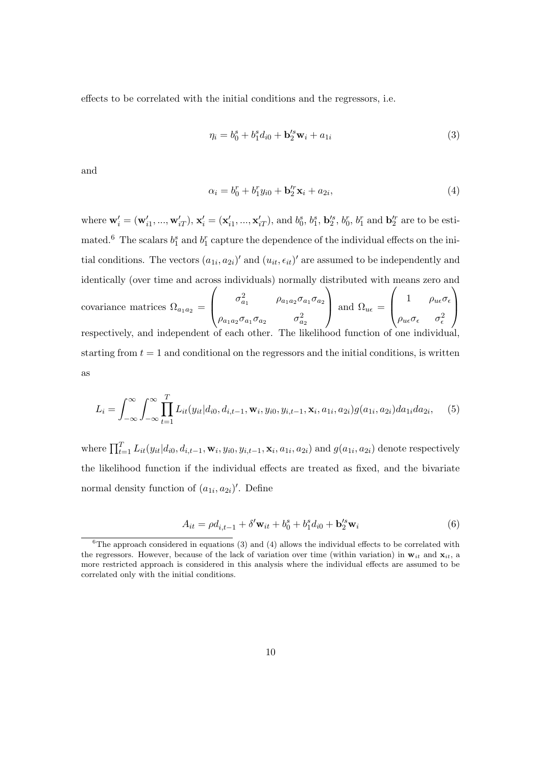effects to be correlated with the initial conditions and the regressors, i.e.

$$
\eta_i = b_0^s + b_1^s d_{i0} + \mathbf{b}_2'^s \mathbf{w}_i + a_{1i} \tag{3}
$$

and

$$
\alpha_i = b_0^r + b_1^r y_{i0} + \mathbf{b}_2^r \mathbf{x}_i + a_{2i}, \tag{4}
$$

where  $\mathbf{w}'_i = (\mathbf{w}'_{i1}, ..., \mathbf{w}'_{iT}), \mathbf{x}'_i = (\mathbf{x}'_{i1}, ..., \mathbf{x}'_{iT}),$  and  $b_0^s, b_1^s, b_2^s, b_0^r, b_1^r$  and  $\mathbf{b}_2^{lr}$  are to be estimated.<sup>6</sup> The scalars  $b_1^s$  and  $b_1^r$  capture the dependence of the individual effects on the initial conditions. The vectors  $(a_{1i}, a_{2i})'$  and  $(u_{it}, \epsilon_{it})'$  are assumed to be independently and identically (over time and across individuals) normally distributed with means zero and covariance matrices  $\Omega_{a_1 a_2} =$  $\sqrt{ }$  $\left\lfloor \right\rfloor$  $\sigma_{a_1}^2$   $\rho_{a_1 a_2} \sigma_{a_1} \sigma_{a_2}$  $\rho_{a_1a_2}\sigma_{a_1}\sigma_{a_2} \qquad \quad \sigma^2_{a_2}$  $\setminus$ and  $\Omega_{u\epsilon} =$  $\sqrt{ }$  $\left\lfloor \right\rfloor$ 1  $\rho_{u\epsilon}\sigma_{\epsilon}$  $\rho_{u\epsilon}\sigma_{\epsilon}$   $\sigma_{\epsilon}^2$  $\setminus$  $\Big\}$ respectively, and independent of each other. The likelihood function of one individual starting from  $t = 1$  and conditional on the regressors and the initial conditions, is written as

$$
L_i = \int_{-\infty}^{\infty} \int_{-\infty}^{\infty} \prod_{t=1}^{T} L_{it}(y_{it}|d_{i0}, d_{i,t-1}, \mathbf{w}_i, y_{i0}, y_{i,t-1}, \mathbf{x}_i, a_{1i}, a_{2i}) g(a_{1i}, a_{2i}) da_{1i} da_{2i}, \quad (5)
$$

where  $\prod_{t=1}^{T} L_{it}(y_{it}|d_{i0}, d_{i,t-1}, \mathbf{w}_i, y_{i0}, y_{i,t-1}, \mathbf{x}_i, a_{1i}, a_{2i})$  and  $g(a_{1i}, a_{2i})$  denote respectively the likelihood function if the individual effects are treated as fixed, and the bivariate normal density function of  $(a_{1i}, a_{2i})'$ . Define

$$
A_{it} = \rho d_{i,t-1} + \delta' \mathbf{w}_{it} + b_0^s + b_1^s d_{i0} + \mathbf{b}_2'^s \mathbf{w}_i
$$
(6)

 $6$ The approach considered in equations (3) and (4) allows the individual effects to be correlated with the regressors. However, because of the lack of variation over time (within variation) in  $w_{it}$  and  $x_{it}$ , a more restricted approach is considered in this analysis where the individual effects are assumed to be correlated only with the initial conditions.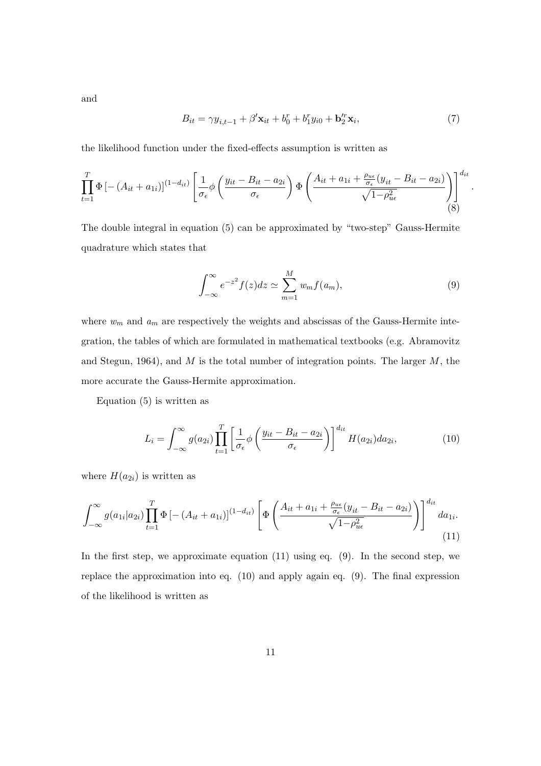and

$$
B_{it} = \gamma y_{i,t-1} + \beta' \mathbf{x}_{it} + b_0^r + b_1^r y_{i0} + \mathbf{b}_2^r \mathbf{x}_i,
$$
\n(7)

the likelihood function under the fixed-effects assumption is written as

$$
\prod_{t=1}^{T} \Phi \left[ -\left( A_{it} + a_{1i} \right) \right]^{(1-d_{it})} \left[ \frac{1}{\sigma_{\epsilon}} \phi \left( \frac{y_{it} - B_{it} - a_{2i}}{\sigma_{\epsilon}} \right) \Phi \left( \frac{A_{it} + a_{1i} + \frac{\rho_{ue}}{\sigma_{\epsilon}} (y_{it} - B_{it} - a_{2i})}{\sqrt{1 - \rho_{ue}^2}} \right) \right]^{d_{it}} \tag{8}
$$

The double integral in equation (5) can be approximated by "two-step" Gauss-Hermite quadrature which states that

$$
\int_{-\infty}^{\infty} e^{-z^2} f(z) dz \simeq \sum_{m=1}^{M} w_m f(a_m), \qquad (9)
$$

.

where  $w_m$  and  $a_m$  are respectively the weights and abscissas of the Gauss-Hermite integration, the tables of which are formulated in mathematical textbooks (e.g. Abramovitz and Stegun, 1964), and  $M$  is the total number of integration points. The larger  $M$ , the more accurate the Gauss-Hermite approximation.

Equation (5) is written as

$$
L_i = \int_{-\infty}^{\infty} g(a_{2i}) \prod_{t=1}^{T} \left[ \frac{1}{\sigma_{\epsilon}} \phi \left( \frac{y_{it} - B_{it} - a_{2i}}{\sigma_{\epsilon}} \right) \right]^{d_{it}} H(a_{2i}) da_{2i}, \tag{10}
$$

where  $H(a_{2i})$  is written as

$$
\int_{-\infty}^{\infty} g(a_{1i}|a_{2i}) \prod_{t=1}^{T} \Phi \left[ - (A_{it} + a_{1i}) \right]^{(1-d_{it})} \left[ \Phi \left( \frac{A_{it} + a_{1i} + \frac{\rho_{ue}}{\sigma_{\epsilon}} (y_{it} - B_{it} - a_{2i})}{\sqrt{1 - \rho_{ue}^2}} \right) \right]^{d_{it}} da_{1i}.
$$
\n(11)

In the first step, we approximate equation  $(11)$  using eq.  $(9)$ . In the second step, we replace the approximation into eq. (10) and apply again eq. (9). The final expression of the likelihood is written as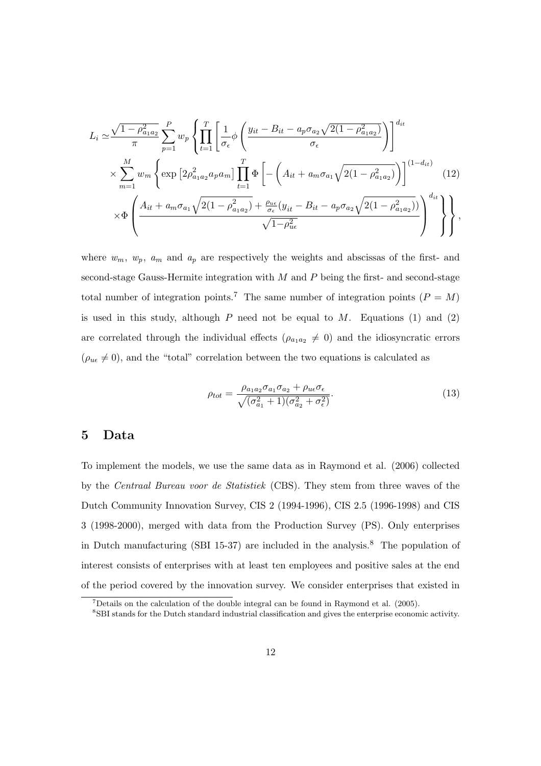$$
L_{i} \simeq \frac{\sqrt{1 - \rho_{a_{1}a_{2}}^{2}}}{\pi} \sum_{p=1}^{P} w_{p} \left\{ \prod_{t=1}^{T} \left[ \frac{1}{\sigma_{\epsilon}} \phi \left( \frac{y_{it} - B_{it} - a_{p} \sigma_{a_{2}} \sqrt{2(1 - \rho_{a_{1}a_{2}}^{2}})}{\sigma_{\epsilon}} \right) \right]^{d_{it}} \right\}
$$
  

$$
\times \sum_{m=1}^{M} w_{m} \left\{ \exp \left[ 2 \rho_{a_{1}a_{2}}^{2} a_{p} a_{m} \right] \prod_{t=1}^{T} \Phi \left[ - \left( A_{it} + a_{m} \sigma_{a_{1}} \sqrt{2(1 - \rho_{a_{1}a_{2}}^{2})} \right) \right]^{(1 - d_{it})} \left( 12 \right)
$$
  

$$
\times \Phi \left( \frac{A_{it} + a_{m} \sigma_{a_{1}} \sqrt{2(1 - \rho_{a_{1}a_{2}}^{2})} + \frac{\rho_{u\epsilon}}{\sigma_{\epsilon}} (y_{it} - B_{it} - a_{p} \sigma_{a_{2}} \sqrt{2(1 - \rho_{a_{1}a_{2}}^{2})})}{\sqrt{1 - \rho_{u\epsilon}^{2}}} \right)^{d_{it}} \right\},
$$
(12)

where  $w_m$ ,  $w_p$ ,  $a_m$  and  $a_p$  are respectively the weights and abscissas of the first- and second-stage Gauss-Hermite integration with  $M$  and  $P$  being the first- and second-stage total number of integration points.<sup>7</sup> The same number of integration points ( $P = M$ ) is used in this study, although  $P$  need not be equal to  $M$ . Equations (1) and (2) are correlated through the individual effects  $(\rho_{a_1a_2} \neq 0)$  and the idiosyncratic errors  $(\rho_{u\epsilon} \neq 0)$ , and the "total" correlation between the two equations is calculated as

$$
\rho_{tot} = \frac{\rho_{a_1 a_2} \sigma_{a_1} \sigma_{a_2} + \rho_{ue} \sigma_{\epsilon}}{\sqrt{(\sigma_{a_1}^2 + 1)(\sigma_{a_2}^2 + \sigma_{\epsilon}^2)}}.
$$
(13)

#### 5 Data

To implement the models, we use the same data as in Raymond et al. (2006) collected by the Centraal Bureau voor de Statistiek (CBS). They stem from three waves of the Dutch Community Innovation Survey, CIS 2 (1994-1996), CIS 2.5 (1996-1998) and CIS 3 (1998-2000), merged with data from the Production Survey (PS). Only enterprises in Dutch manufacturing (SBI 15-37) are included in the analysis.<sup>8</sup> The population of interest consists of enterprises with at least ten employees and positive sales at the end of the period covered by the innovation survey. We consider enterprises that existed in

 $7$ Details on the calculation of the double integral can be found in Raymond et al. (2005).

<sup>8</sup>SBI stands for the Dutch standard industrial classification and gives the enterprise economic activity.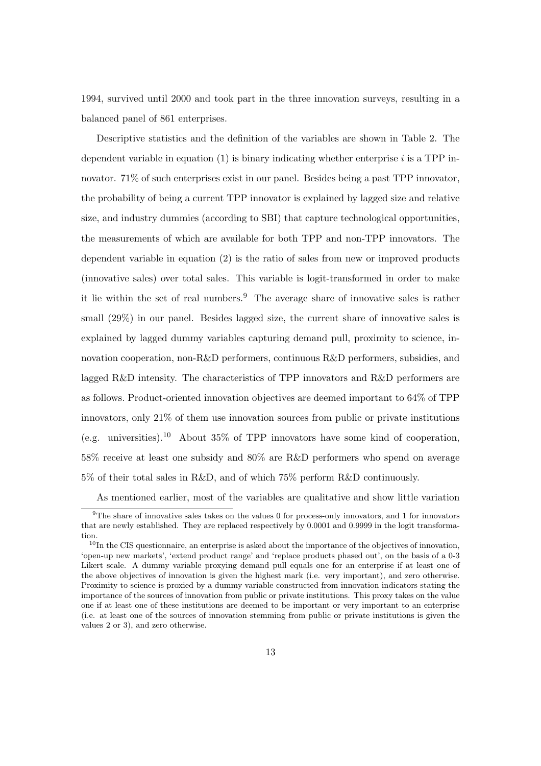1994, survived until 2000 and took part in the three innovation surveys, resulting in a balanced panel of 861 enterprises.

Descriptive statistics and the definition of the variables are shown in Table 2. The dependent variable in equation  $(1)$  is binary indicating whether enterprise i is a TPP innovator. 71% of such enterprises exist in our panel. Besides being a past TPP innovator, the probability of being a current TPP innovator is explained by lagged size and relative size, and industry dummies (according to SBI) that capture technological opportunities, the measurements of which are available for both TPP and non-TPP innovators. The dependent variable in equation (2) is the ratio of sales from new or improved products (innovative sales) over total sales. This variable is logit-transformed in order to make it lie within the set of real numbers. $9$  The average share of innovative sales is rather small (29%) in our panel. Besides lagged size, the current share of innovative sales is explained by lagged dummy variables capturing demand pull, proximity to science, innovation cooperation, non-R&D performers, continuous R&D performers, subsidies, and lagged R&D intensity. The characteristics of TPP innovators and R&D performers are as follows. Product-oriented innovation objectives are deemed important to 64% of TPP innovators, only 21% of them use innovation sources from public or private institutions (e.g. universities).<sup>10</sup> About 35% of TPP innovators have some kind of cooperation, 58% receive at least one subsidy and 80% are R&D performers who spend on average 5% of their total sales in R&D, and of which 75% perform R&D continuously.

As mentioned earlier, most of the variables are qualitative and show little variation

<sup>9</sup>The share of innovative sales takes on the values 0 for process-only innovators, and 1 for innovators that are newly established. They are replaced respectively by 0.0001 and 0.9999 in the logit transformation.

 $10$ In the CIS questionnaire, an enterprise is asked about the importance of the objectives of innovation, 'open-up new markets', 'extend product range' and 'replace products phased out', on the basis of a 0-3 Likert scale. A dummy variable proxying demand pull equals one for an enterprise if at least one of the above objectives of innovation is given the highest mark (i.e. very important), and zero otherwise. Proximity to science is proxied by a dummy variable constructed from innovation indicators stating the importance of the sources of innovation from public or private institutions. This proxy takes on the value one if at least one of these institutions are deemed to be important or very important to an enterprise (i.e. at least one of the sources of innovation stemming from public or private institutions is given the values 2 or 3), and zero otherwise.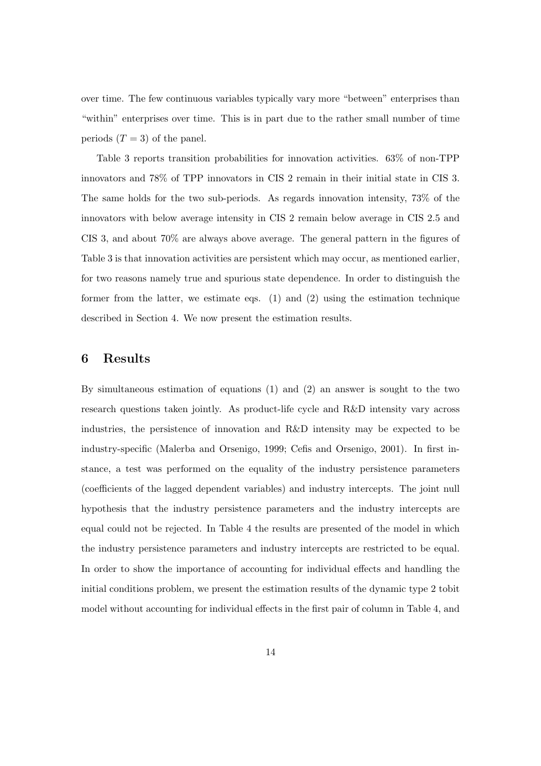over time. The few continuous variables typically vary more "between" enterprises than "within" enterprises over time. This is in part due to the rather small number of time periods  $(T = 3)$  of the panel.

Table 3 reports transition probabilities for innovation activities. 63% of non-TPP innovators and 78% of TPP innovators in CIS 2 remain in their initial state in CIS 3. The same holds for the two sub-periods. As regards innovation intensity, 73% of the innovators with below average intensity in CIS 2 remain below average in CIS 2.5 and CIS 3, and about 70% are always above average. The general pattern in the figures of Table 3 is that innovation activities are persistent which may occur, as mentioned earlier, for two reasons namely true and spurious state dependence. In order to distinguish the former from the latter, we estimate eqs.  $(1)$  and  $(2)$  using the estimation technique described in Section 4. We now present the estimation results.

#### 6 Results

By simultaneous estimation of equations (1) and (2) an answer is sought to the two research questions taken jointly. As product-life cycle and R&D intensity vary across industries, the persistence of innovation and R&D intensity may be expected to be industry-specific (Malerba and Orsenigo, 1999; Cefis and Orsenigo, 2001). In first instance, a test was performed on the equality of the industry persistence parameters (coefficients of the lagged dependent variables) and industry intercepts. The joint null hypothesis that the industry persistence parameters and the industry intercepts are equal could not be rejected. In Table 4 the results are presented of the model in which the industry persistence parameters and industry intercepts are restricted to be equal. In order to show the importance of accounting for individual effects and handling the initial conditions problem, we present the estimation results of the dynamic type 2 tobit model without accounting for individual effects in the first pair of column in Table 4, and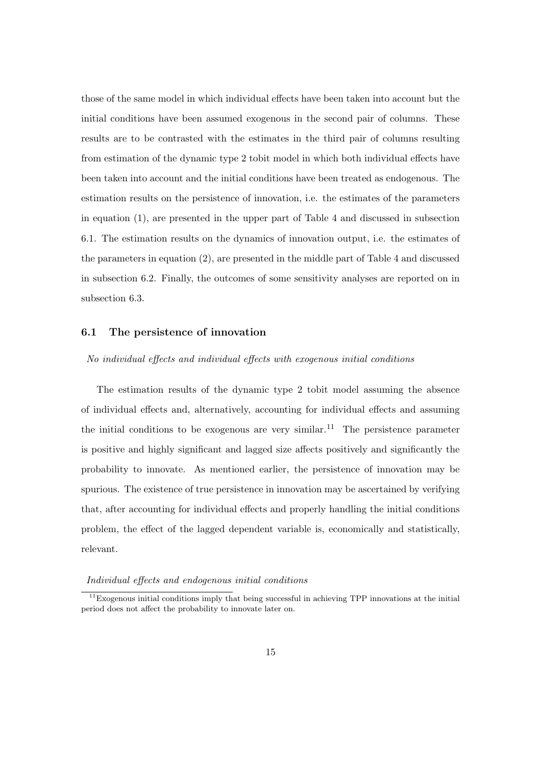those of the same model in which individual effects have been taken into account but the initial conditions have been assumed exogenous in the second pair of columns. These results are to be contrasted with the estimates in the third pair of columns resulting from estimation of the dynamic type 2 tobit model in which both individual effects have been taken into account and the initial conditions have been treated as endogenous. The estimation results on the persistence of innovation, i.e. the estimates of the parameters in equation (1), are presented in the upper part of Table 4 and discussed in subsection 6.1. The estimation results on the dynamics of innovation output, i.e. the estimates of the parameters in equation (2), are presented in the middle part of Table 4 and discussed in subsection 6.2. Finally, the outcomes of some sensitivity analyses are reported on in subsection 6.3.

#### 6.1 The persistence of innovation

#### No individual effects and individual effects with exogenous initial conditions

The estimation results of the dynamic type 2 tobit model assuming the absence of individual effects and, alternatively, accounting for individual effects and assuming the initial conditions to be exogenous are very similar.<sup>11</sup> The persistence parameter is positive and highly significant and lagged size affects positively and significantly the probability to innovate. As mentioned earlier, the persistence of innovation may be spurious. The existence of true persistence in innovation may be ascertained by verifying that, after accounting for individual effects and properly handling the initial conditions problem, the effect of the lagged dependent variable is, economically and statistically, relevant.

#### Individual effects and endogenous initial conditions

 $11$ Exogenous initial conditions imply that being successful in achieving TPP innovations at the initial period does not affect the probability to innovate later on.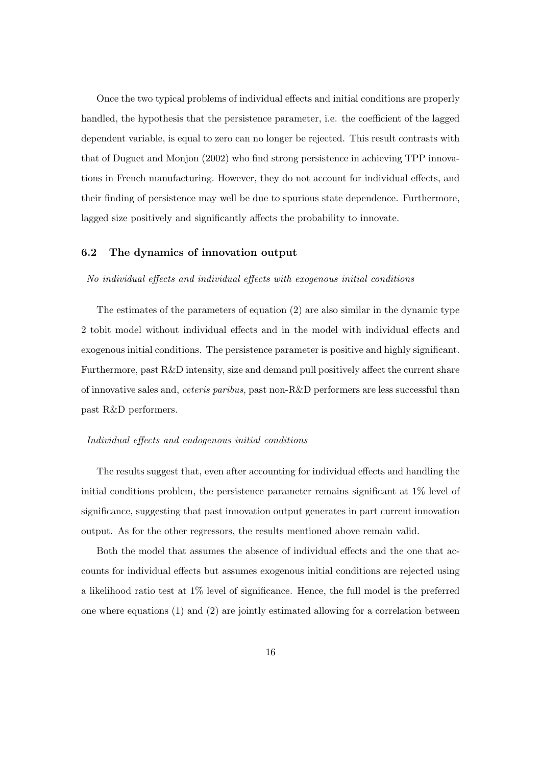Once the two typical problems of individual effects and initial conditions are properly handled, the hypothesis that the persistence parameter, i.e. the coefficient of the lagged dependent variable, is equal to zero can no longer be rejected. This result contrasts with that of Duguet and Monjon (2002) who find strong persistence in achieving TPP innovations in French manufacturing. However, they do not account for individual effects, and their finding of persistence may well be due to spurious state dependence. Furthermore, lagged size positively and significantly affects the probability to innovate.

#### 6.2 The dynamics of innovation output

#### No individual effects and individual effects with exogenous initial conditions

The estimates of the parameters of equation (2) are also similar in the dynamic type 2 tobit model without individual effects and in the model with individual effects and exogenous initial conditions. The persistence parameter is positive and highly significant. Furthermore, past R&D intensity, size and demand pull positively affect the current share of innovative sales and, ceteris paribus, past non-R&D performers are less successful than past R&D performers.

#### Individual effects and endogenous initial conditions

The results suggest that, even after accounting for individual effects and handling the initial conditions problem, the persistence parameter remains significant at 1% level of significance, suggesting that past innovation output generates in part current innovation output. As for the other regressors, the results mentioned above remain valid.

Both the model that assumes the absence of individual effects and the one that accounts for individual effects but assumes exogenous initial conditions are rejected using a likelihood ratio test at 1% level of significance. Hence, the full model is the preferred one where equations (1) and (2) are jointly estimated allowing for a correlation between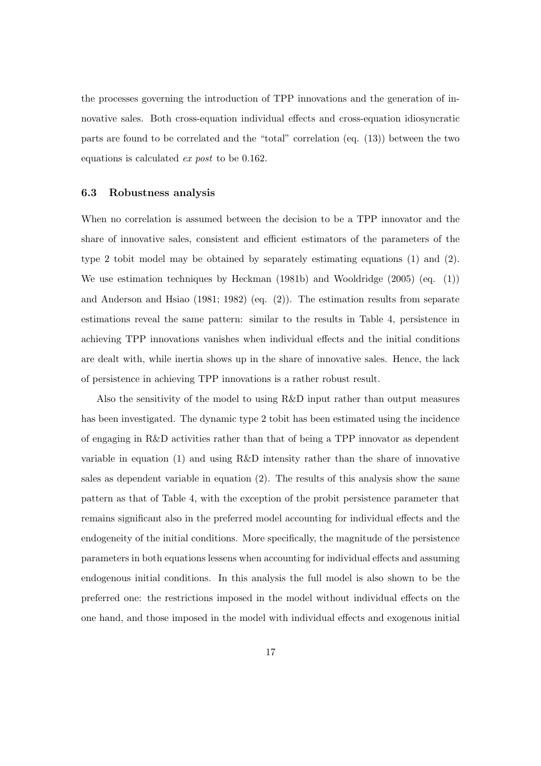the processes governing the introduction of TPP innovations and the generation of innovative sales. Both cross-equation individual effects and cross-equation idiosyncratic parts are found to be correlated and the "total" correlation (eq. (13)) between the two equations is calculated ex post to be 0.162.

#### 6.3 Robustness analysis

When no correlation is assumed between the decision to be a TPP innovator and the share of innovative sales, consistent and efficient estimators of the parameters of the type 2 tobit model may be obtained by separately estimating equations (1) and (2). We use estimation techniques by Heckman (1981b) and Wooldridge (2005) (eq. (1)) and Anderson and Hsiao (1981; 1982) (eq. (2)). The estimation results from separate estimations reveal the same pattern: similar to the results in Table 4, persistence in achieving TPP innovations vanishes when individual effects and the initial conditions are dealt with, while inertia shows up in the share of innovative sales. Hence, the lack of persistence in achieving TPP innovations is a rather robust result.

Also the sensitivity of the model to using R&D input rather than output measures has been investigated. The dynamic type 2 tobit has been estimated using the incidence of engaging in R&D activities rather than that of being a TPP innovator as dependent variable in equation (1) and using R&D intensity rather than the share of innovative sales as dependent variable in equation (2). The results of this analysis show the same pattern as that of Table 4, with the exception of the probit persistence parameter that remains significant also in the preferred model accounting for individual effects and the endogeneity of the initial conditions. More specifically, the magnitude of the persistence parameters in both equations lessens when accounting for individual effects and assuming endogenous initial conditions. In this analysis the full model is also shown to be the preferred one: the restrictions imposed in the model without individual effects on the one hand, and those imposed in the model with individual effects and exogenous initial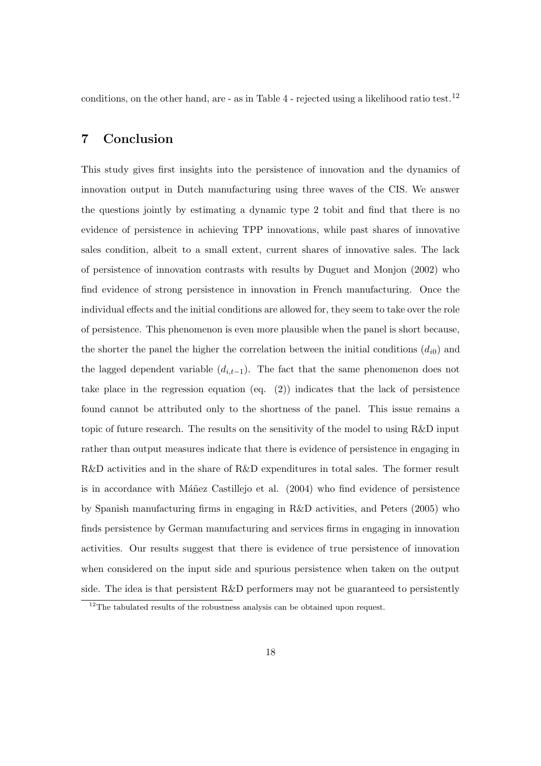conditions, on the other hand, are  $-$  as in Table 4  $-$  rejected using a likelihood ratio test.<sup>12</sup>

#### 7 Conclusion

This study gives first insights into the persistence of innovation and the dynamics of innovation output in Dutch manufacturing using three waves of the CIS. We answer the questions jointly by estimating a dynamic type 2 tobit and find that there is no evidence of persistence in achieving TPP innovations, while past shares of innovative sales condition, albeit to a small extent, current shares of innovative sales. The lack of persistence of innovation contrasts with results by Duguet and Monjon (2002) who find evidence of strong persistence in innovation in French manufacturing. Once the individual effects and the initial conditions are allowed for, they seem to take over the role of persistence. This phenomenon is even more plausible when the panel is short because, the shorter the panel the higher the correlation between the initial conditions  $(d_{i0})$  and the lagged dependent variable  $(d_{i,t-1})$ . The fact that the same phenomenon does not take place in the regression equation (eq. (2)) indicates that the lack of persistence found cannot be attributed only to the shortness of the panel. This issue remains a topic of future research. The results on the sensitivity of the model to using R&D input rather than output measures indicate that there is evidence of persistence in engaging in R&D activities and in the share of R&D expenditures in total sales. The former result is in accordance with Máñez Castillejo et al.  $(2004)$  who find evidence of persistence by Spanish manufacturing firms in engaging in R&D activities, and Peters (2005) who finds persistence by German manufacturing and services firms in engaging in innovation activities. Our results suggest that there is evidence of true persistence of innovation when considered on the input side and spurious persistence when taken on the output side. The idea is that persistent R&D performers may not be guaranteed to persistently

 $^{12}\mathrm{The}$  tabulated results of the robustness analysis can be obtained upon request.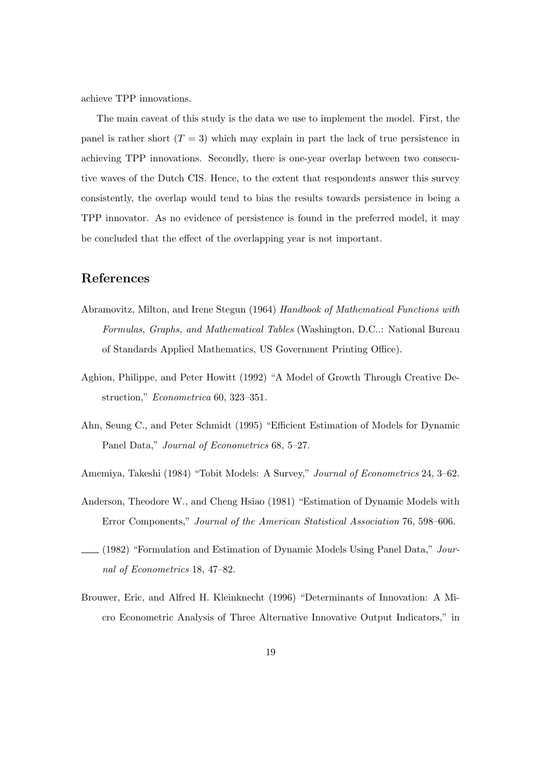achieve TPP innovations.

The main caveat of this study is the data we use to implement the model. First, the panel is rather short  $(T = 3)$  which may explain in part the lack of true persistence in achieving TPP innovations. Secondly, there is one-year overlap between two consecutive waves of the Dutch CIS. Hence, to the extent that respondents answer this survey consistently, the overlap would tend to bias the results towards persistence in being a TPP innovator. As no evidence of persistence is found in the preferred model, it may be concluded that the effect of the overlapping year is not important.

#### References

- Abramovitz, Milton, and Irene Stegun (1964) Handbook of Mathematical Functions with Formulas, Graphs, and Mathematical Tables (Washington, D.C..: National Bureau of Standards Applied Mathematics, US Government Printing Office).
- Aghion, Philippe, and Peter Howitt (1992) "A Model of Growth Through Creative Destruction," Econometrica 60, 323–351.
- Ahn, Seung C., and Peter Schmidt (1995) "Efficient Estimation of Models for Dynamic Panel Data," Journal of Econometrics 68, 5–27.
- Amemiya, Takeshi (1984) "Tobit Models: A Survey," Journal of Econometrics 24, 3–62.
- Anderson, Theodore W., and Cheng Hsiao (1981) "Estimation of Dynamic Models with Error Components," Journal of the American Statistical Association 76, 598–606.
- $(1982)$  "Formulation and Estimation of Dynamic Models Using Panel Data," Journal of Econometrics 18, 47–82.
- Brouwer, Eric, and Alfred H. Kleinknecht (1996) "Determinants of Innovation: A Micro Econometric Analysis of Three Alternative Innovative Output Indicators," in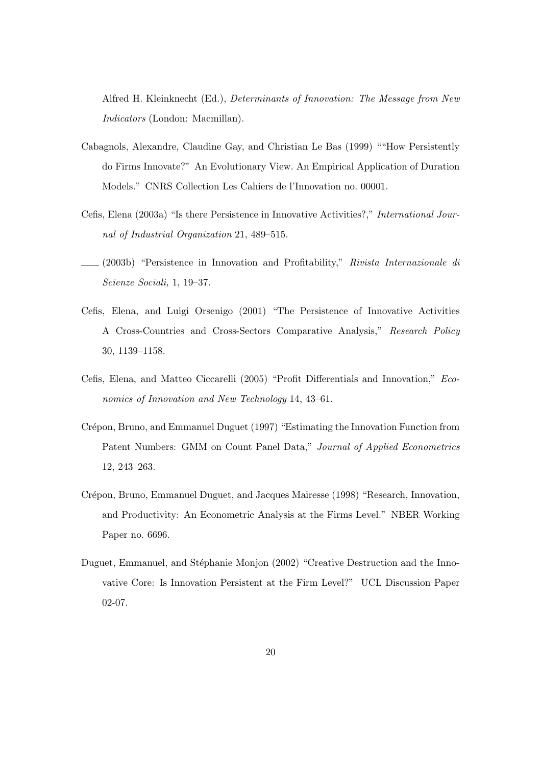Alfred H. Kleinknecht (Ed.), Determinants of Innovation: The Message from New Indicators (London: Macmillan).

- Cabagnols, Alexandre, Claudine Gay, and Christian Le Bas (1999) ""How Persistently do Firms Innovate?" An Evolutionary View. An Empirical Application of Duration Models." CNRS Collection Les Cahiers de l'Innovation no. 00001.
- Cefis, Elena (2003a) "Is there Persistence in Innovative Activities?," International Journal of Industrial Organization 21, 489–515.
- (2003b) "Persistence in Innovation and Profitability," Rivista Internazionale di Scienze Sociali, 1, 19–37.
- Cefis, Elena, and Luigi Orsenigo (2001) "The Persistence of Innovative Activities A Cross-Countries and Cross-Sectors Comparative Analysis," Research Policy 30, 1139–1158.
- Cefis, Elena, and Matteo Ciccarelli (2005) "Profit Differentials and Innovation," Economics of Innovation and New Technology 14, 43–61.
- Crépon, Bruno, and Emmanuel Duguet (1997) "Estimating the Innovation Function from Patent Numbers: GMM on Count Panel Data," Journal of Applied Econometrics 12, 243–263.
- Crépon, Bruno, Emmanuel Duguet, and Jacques Mairesse (1998) "Research, Innovation, and Productivity: An Econometric Analysis at the Firms Level." NBER Working Paper no. 6696.
- Duguet, Emmanuel, and Stéphanie Monjon (2002) "Creative Destruction and the Innovative Core: Is Innovation Persistent at the Firm Level?" UCL Discussion Paper 02-07.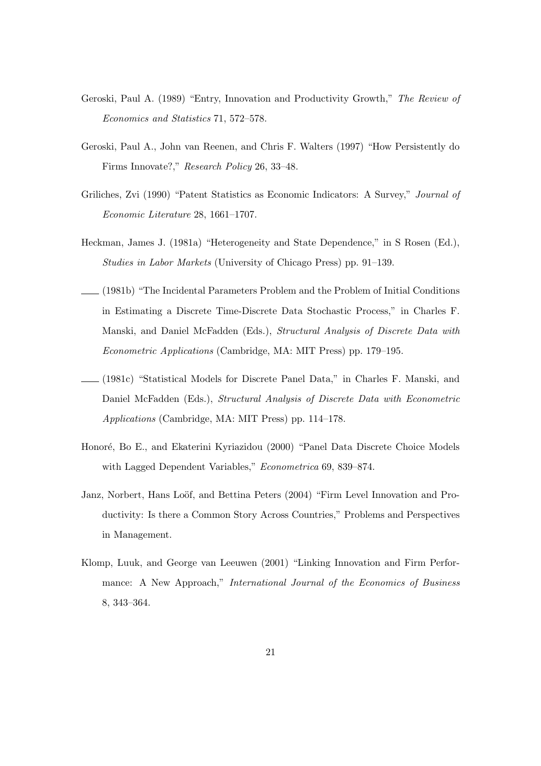- Geroski, Paul A. (1989) "Entry, Innovation and Productivity Growth," The Review of Economics and Statistics 71, 572–578.
- Geroski, Paul A., John van Reenen, and Chris F. Walters (1997) "How Persistently do Firms Innovate?," Research Policy 26, 33–48.
- Griliches, Zvi (1990) "Patent Statistics as Economic Indicators: A Survey," Journal of Economic Literature 28, 1661–1707.
- Heckman, James J. (1981a) "Heterogeneity and State Dependence," in S Rosen (Ed.), Studies in Labor Markets (University of Chicago Press) pp. 91–139.
- (1981b) "The Incidental Parameters Problem and the Problem of Initial Conditions in Estimating a Discrete Time-Discrete Data Stochastic Process," in Charles F. Manski, and Daniel McFadden (Eds.), Structural Analysis of Discrete Data with Econometric Applications (Cambridge, MA: MIT Press) pp. 179–195.
- (1981c) "Statistical Models for Discrete Panel Data," in Charles F. Manski, and Daniel McFadden (Eds.), Structural Analysis of Discrete Data with Econometric Applications (Cambridge, MA: MIT Press) pp. 114–178.
- Honoré, Bo E., and Ekaterini Kyriazidou (2000) "Panel Data Discrete Choice Models with Lagged Dependent Variables," *Econometrica* 69, 839–874.
- Janz, Norbert, Hans Loöf, and Bettina Peters (2004) "Firm Level Innovation and Productivity: Is there a Common Story Across Countries," Problems and Perspectives in Management.
- Klomp, Luuk, and George van Leeuwen (2001) "Linking Innovation and Firm Performance: A New Approach," International Journal of the Economics of Business 8, 343–364.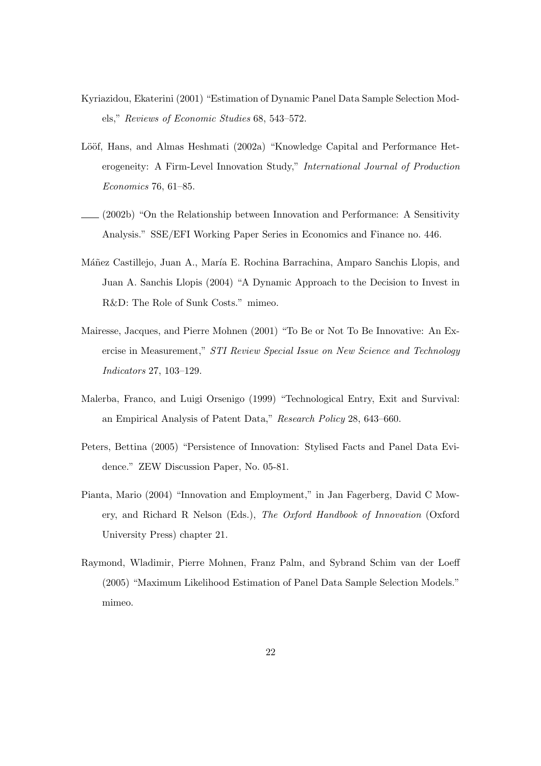- Kyriazidou, Ekaterini (2001) "Estimation of Dynamic Panel Data Sample Selection Models," Reviews of Economic Studies 68, 543–572.
- Lööf, Hans, and Almas Heshmati (2002a) "Knowledge Capital and Performance Heterogeneity: A Firm-Level Innovation Study," International Journal of Production Economics 76, 61–85.
- (2002b) "On the Relationship between Innovation and Performance: A Sensitivity Analysis." SSE/EFI Working Paper Series in Economics and Finance no. 446.
- Máñez Castillejo, Juan A., María E. Rochina Barrachina, Amparo Sanchis Llopis, and Juan A. Sanchis Llopis (2004) "A Dynamic Approach to the Decision to Invest in R&D: The Role of Sunk Costs." mimeo.
- Mairesse, Jacques, and Pierre Mohnen (2001) "To Be or Not To Be Innovative: An Exercise in Measurement," STI Review Special Issue on New Science and Technology Indicators 27, 103–129.
- Malerba, Franco, and Luigi Orsenigo (1999) "Technological Entry, Exit and Survival: an Empirical Analysis of Patent Data," Research Policy 28, 643–660.
- Peters, Bettina (2005) "Persistence of Innovation: Stylised Facts and Panel Data Evidence." ZEW Discussion Paper, No. 05-81.
- Pianta, Mario (2004) "Innovation and Employment," in Jan Fagerberg, David C Mowery, and Richard R Nelson (Eds.), The Oxford Handbook of Innovation (Oxford University Press) chapter 21.
- Raymond, Wladimir, Pierre Mohnen, Franz Palm, and Sybrand Schim van der Loeff (2005) "Maximum Likelihood Estimation of Panel Data Sample Selection Models." mimeo.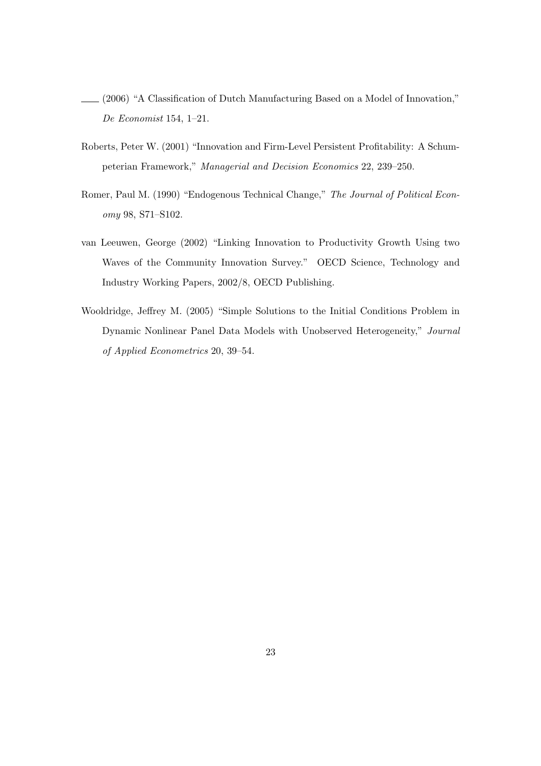- (2006) "A Classification of Dutch Manufacturing Based on a Model of Innovation," De Economist 154, 1–21.
- Roberts, Peter W. (2001) "Innovation and Firm-Level Persistent Profitability: A Schumpeterian Framework," Managerial and Decision Economics 22, 239–250.
- Romer, Paul M. (1990) "Endogenous Technical Change," The Journal of Political Economy 98, S71–S102.
- van Leeuwen, George (2002) "Linking Innovation to Productivity Growth Using two Waves of the Community Innovation Survey." OECD Science, Technology and Industry Working Papers, 2002/8, OECD Publishing.
- Wooldridge, Jeffrey M. (2005) "Simple Solutions to the Initial Conditions Problem in Dynamic Nonlinear Panel Data Models with Unobserved Heterogeneity," Journal of Applied Econometrics 20, 39–54.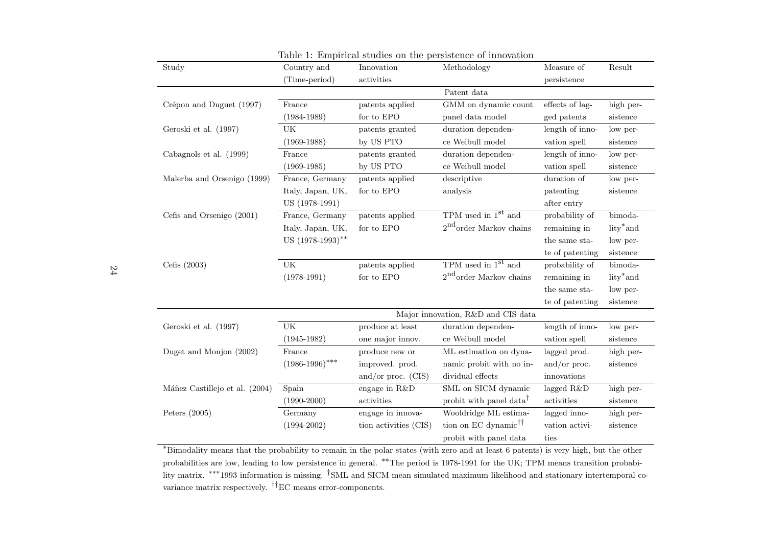| Lable 1. Emplode studies on the persistence of important |                                    |                       |                                     |                 |                       |  |  |  |
|----------------------------------------------------------|------------------------------------|-----------------------|-------------------------------------|-----------------|-----------------------|--|--|--|
| Study                                                    | Country and                        | Innovation            | Methodology                         | Measure of      | Result                |  |  |  |
|                                                          | (Time-period)                      | activities            |                                     | persistence     |                       |  |  |  |
|                                                          |                                    |                       | Patent data                         |                 |                       |  |  |  |
| Crépon and Duguet (1997)                                 | France                             | patents applied       | GMM on dynamic count                | effects of lag- | high per-             |  |  |  |
|                                                          | $(1984 - 1989)$                    | for to $EPO$          | panel data model                    | ged patents     | sistence              |  |  |  |
| Geroski et al. (1997)                                    | UK                                 | patents granted       | duration dependen-                  | length of inno- | low per-              |  |  |  |
|                                                          | $(1969-1988)$                      | by US PTO             | ce Weibull model                    | vation spell    | sistence              |  |  |  |
| Cabagnols et al. (1999)                                  | France                             | patents granted       | duration dependen-                  | length of inno- | low per-              |  |  |  |
|                                                          | $(1969-1985)$                      | by US PTO             | ce Weibull model                    | vation spell    | sistence              |  |  |  |
| Malerba and Orsenigo (1999)                              | France, Germany                    | patents applied       | descriptive                         | duration of     | low per-              |  |  |  |
|                                                          | Italy, Japan, UK,                  | for to $\rm{EPO}$     | analysis                            | patenting       | sistence              |  |  |  |
|                                                          | US (1978-1991)                     |                       |                                     | after entry     |                       |  |  |  |
| Cefis and Orsenigo (2001)                                | France, Germany                    | patents applied       | TPM used in $1st$ and               | probability of  | bimoda-               |  |  |  |
|                                                          | Italy, Japan, UK,                  | for to EPO            | $2nd$ order Markov chains           | remaining in    | lity <sup>*</sup> and |  |  |  |
|                                                          | US (1978-1993)**                   |                       |                                     | the same sta-   | low per-              |  |  |  |
|                                                          |                                    |                       |                                     | te of patenting | sistence              |  |  |  |
| Cefis $(2003)$                                           | $\mathrm{UK}$                      | patents applied       | TPM used in $1st$ and               | probability of  | bimoda-               |  |  |  |
|                                                          | $(1978-1991)$                      | for to $EPO$          | $2nd$ order Markov chains           | remaining in    | lity <sup>*</sup> and |  |  |  |
|                                                          |                                    |                       |                                     | the same sta-   | low per-              |  |  |  |
|                                                          |                                    |                       |                                     | te of patenting | sistence              |  |  |  |
|                                                          | Major innovation, R&D and CIS data |                       |                                     |                 |                       |  |  |  |
| Geroski et al. (1997)                                    | UK                                 | produce at least      | duration dependen-                  | length of inno- | low per-              |  |  |  |
|                                                          | $(1945 - 1982)$                    | one major innov.      | ce Weibull model                    | vation spell    | sistence              |  |  |  |
| Duget and Monjon (2002)                                  | France                             | produce new or        | ML estimation on dyna-              | lagged prod.    | high per-             |  |  |  |
|                                                          | $(1986-1996)$ ***                  | improved. prod.       | namic probit with no in-            | and/or proc.    | sistence              |  |  |  |
|                                                          |                                    | and/or proc. $(CIS)$  | dividual effects                    | innovations     |                       |  |  |  |
| Máñez Castillejo et al. (2004)                           | Spain                              | engage in R&D         | SML on SICM dynamic                 | lagged R&D      | high per-             |  |  |  |
|                                                          | $(1990 - 2000)$                    | activities            | probit with panel data <sup>†</sup> | activities      | sistence              |  |  |  |
| Peters $(2005)$                                          | Germany                            | engage in innova-     | Wooldridge ML estima-               | lagged inno-    | high per-             |  |  |  |
|                                                          | $(1994 - 2002)$                    | tion activities (CIS) | tion on EC dynamic <sup>††</sup>    | vation activi-  | sistence              |  |  |  |
|                                                          |                                    |                       | probit with panel data              | ties            |                       |  |  |  |
|                                                          |                                    |                       |                                     |                 |                       |  |  |  |

 <sup>∗</sup>Bimodality means that the probability to remain in the polar states (with zero and at least <sup>6</sup> patents) is very high, but the other probabilities are low, leading to low persistence in general. \*\*The period is 1978-1991 for the UK; TPM means transition probability matrix. <sup>\*\*\*</sup>1993 information is missing. <sup>†</sup>SML and SICM mean simulated maximum likelihood and stationary intertemporal covariance matrix respectively. ††EC means error-components.

Table 1: Empirical studies on the persistence of innovation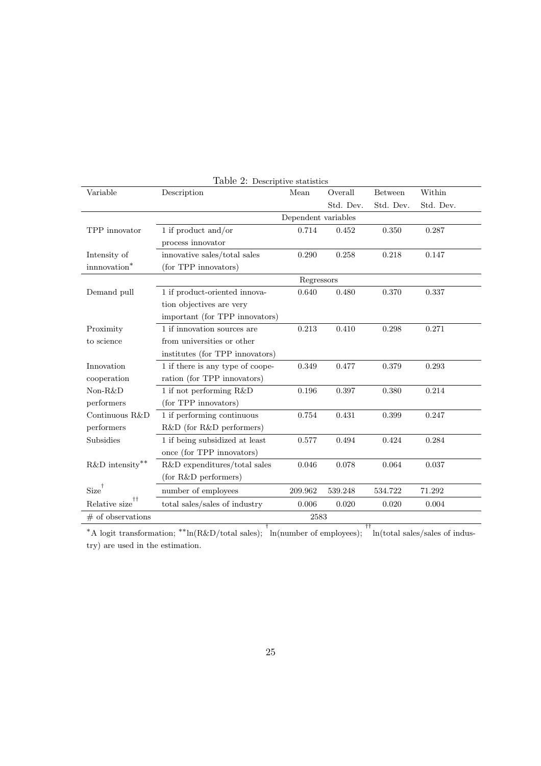| Variable            | <b>Lable 2.</b> Descriptive statistics<br>Description | Mean    | Overall   | <b>Between</b> | Within    |  |  |  |
|---------------------|-------------------------------------------------------|---------|-----------|----------------|-----------|--|--|--|
|                     |                                                       |         | Std. Dev. | Std. Dev.      | Std. Dev. |  |  |  |
|                     | Dependent variables                                   |         |           |                |           |  |  |  |
| TPP innovator       | 1 if product and/or                                   | 0.714   | 0.452     | 0.350          | 0.287     |  |  |  |
|                     | process innovator                                     |         |           |                |           |  |  |  |
| Intensity of        | innovative sales/total sales                          | 0.290   | 0.258     | 0.218          | 0.147     |  |  |  |
| innnovation*        | (for TPP innovators)                                  |         |           |                |           |  |  |  |
|                     | Regressors                                            |         |           |                |           |  |  |  |
| Demand pull         | 1 if product-oriented innova-                         | 0.640   | 0.480     | 0.370          | 0.337     |  |  |  |
|                     | tion objectives are very                              |         |           |                |           |  |  |  |
|                     | important (for TPP innovators)                        |         |           |                |           |  |  |  |
| Proximity           | 1 if innovation sources are                           | 0.213   | 0.410     | 0.298          | 0.271     |  |  |  |
| to science          | from universities or other                            |         |           |                |           |  |  |  |
|                     | institutes (for TPP innovators)                       |         |           |                |           |  |  |  |
| Innovation          | 1 if there is any type of coope-                      | 0.349   | 0.477     | 0.379          | 0.293     |  |  |  |
| cooperation         | ration (for TPP innovators)                           |         |           |                |           |  |  |  |
| Non-R&D             | 1 if not performing R&D                               | 0.196   | 0.397     | 0.380          | 0.214     |  |  |  |
| performers          | (for TPP innovators)                                  |         |           |                |           |  |  |  |
| Continuous R&D      | 1 if performing continuous                            | 0.754   | 0.431     | 0.399          | 0.247     |  |  |  |
| performers          | R&D (for R&D performers)                              |         |           |                |           |  |  |  |
| Subsidies           | 1 if being subsidized at least                        | 0.577   | 0.494     | 0.424          | 0.284     |  |  |  |
|                     | once (for TPP innovators)                             |         |           |                |           |  |  |  |
| $R\&D$ intensity**  | R&D expenditures/total sales                          | 0.046   | 0.078     | 0.064          | 0.037     |  |  |  |
|                     | (for R&D performers)                                  |         |           |                |           |  |  |  |
| $Size^{\dagger}$    | number of employees                                   | 209.962 | 539.248   | 534.722        | 71.292    |  |  |  |
| ††<br>Relative size | total sales/sales of industry                         | 0.006   | 0.020     | 0.020          | 0.004     |  |  |  |
| $#$ of observations |                                                       | 2583    |           |                |           |  |  |  |

Table 2: Descriptive statistics

<sup>∗</sup>A logit transformation; ∗∗ln(R&D/total sales); † ln(number of employees); †† ln(total sales/sales of industry) are used in the estimation.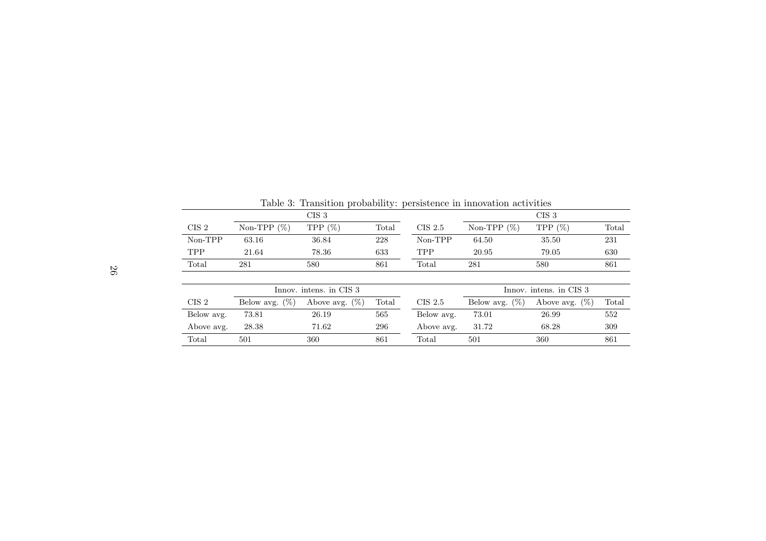| Table 3: Transition probability: persistence in innovation activities |                   |                   |       |                         |                   |                   |       |  |
|-----------------------------------------------------------------------|-------------------|-------------------|-------|-------------------------|-------------------|-------------------|-------|--|
|                                                                       | CIS <sub>3</sub>  |                   |       |                         |                   | CIS <sub>3</sub>  |       |  |
| CIS <sub>2</sub>                                                      | (% )<br>$Non-TPP$ | TPP $(\%)$        | Total | $CIS$ 2.5               | Non-TPP $(\%)$    | TPP $(\%)$        | Total |  |
| Non-TPP                                                               | 63.16             | 36.84             | 228   | Non-TPP                 | 64.50             | 35.50             | 231   |  |
| <b>TPP</b>                                                            | 21.64             | 78.36             | 633   | <b>TPP</b>              | 20.95             | 79.05             | 630   |  |
| Total                                                                 | 281               | 580               | 861   | Total                   | 281               | 580               | 861   |  |
|                                                                       |                   |                   |       |                         |                   |                   |       |  |
| Innov. intens. in CIS 3                                               |                   |                   |       | Innov. intens. in CIS 3 |                   |                   |       |  |
| CIS <sub>2</sub>                                                      | Below avg. $(\%)$ | Above avg. $(\%)$ | Total | $CIS$ 2.5               | Below avg. $(\%)$ | Above avg. $(\%)$ | Total |  |
| Below avg.                                                            | 73.81             | 26.19             | 565   | Below avg.              | 73.01             | 26.99             | 552   |  |
| Above avg.                                                            | 28.38             | 71.62             | 296   | Above avg.              | 31.72             | 68.28             | 309   |  |
| Total                                                                 | 501               | 360               | 861   | Total                   | 501               | 360               | 861   |  |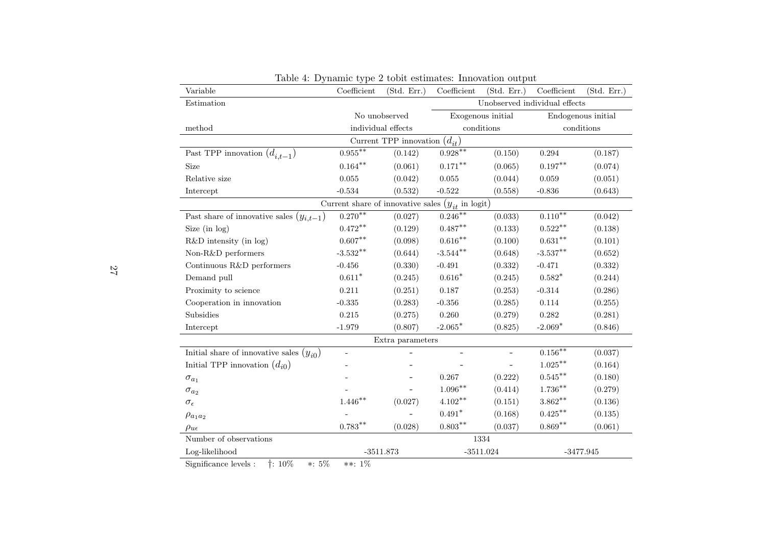| Variable                                              | Coefficient                   | (Std. Err.)      | Coefficient        | (Std. Err.)              | Coefficient        | (Std. Err.) |  |  |
|-------------------------------------------------------|-------------------------------|------------------|--------------------|--------------------------|--------------------|-------------|--|--|
| Estimation                                            | Unobserved individual effects |                  |                    |                          |                    |             |  |  |
|                                                       | No unobserved                 |                  | Exogenous initial  |                          | Endogenous initial |             |  |  |
| method                                                | individual effects            |                  | conditions         |                          | conditions         |             |  |  |
| Current TPP innovation $(d_{it})$                     |                               |                  |                    |                          |                    |             |  |  |
| Past TPP innovation $(d_{i,t-1})$                     | $0.955***$                    | (0.142)          | $0.928**$          | (0.150)                  | 0.294              | (0.187)     |  |  |
| Size                                                  | $0.164^{**}$                  | (0.061)          | $0.171***$         | (0.065)                  | $0.197***$         | (0.074)     |  |  |
| Relative size                                         | 0.055                         | (0.042)          | $\,0.055\,$        | (0.044)                  | 0.059              | (0.051)     |  |  |
| Intercept                                             | $-0.534$                      | (0.532)          | $-0.522$           | (0.558)                  | $-0.836$           | (0.643)     |  |  |
| Current share of innovative sales $(y_{it}$ in logit) |                               |                  |                    |                          |                    |             |  |  |
| Past share of innovative sales $(y_{i,t-1})$          | $0.270***$                    | (0.027)          | $0.246***$         | (0.033)                  | $0.110^{**}$       | (0.042)     |  |  |
| Size (in $log$ )                                      | $0.472**$                     | (0.129)          | $0.487^{\ast\ast}$ | (0.133)                  | $0.522***$         | (0.138)     |  |  |
| $R&D$ intensity (in log)                              | $0.607**$                     | (0.098)          | $0.616***$         | (0.100)                  | $0.631***$         | (0.101)     |  |  |
| Non-R&D performers                                    | $-3.532**$                    | (0.644)          | $-3.544***$        | (0.648)                  | $-3.537**$         | (0.652)     |  |  |
| Continuous R&D performers                             | $-0.456$                      | (0.330)          | $-0.491$           | (0.332)                  | $-0.471$           | (0.332)     |  |  |
| Demand pull                                           | $0.611*$                      | (0.245)          | $0.616*$           | (0.245)                  | $0.582*$           | (0.244)     |  |  |
| Proximity to science                                  | 0.211                         | (0.251)          | 0.187              | (0.253)                  | $-0.314$           | (0.286)     |  |  |
| Cooperation in innovation                             | $-0.335$                      | (0.283)          | $-0.356$           | (0.285)                  | 0.114              | (0.255)     |  |  |
| Subsidies                                             | 0.215                         | (0.275)          | 0.260              | (0.279)                  | $0.282\,$          | (0.281)     |  |  |
| Intercept                                             | $-1.979$                      | (0.807)          | $-2.065*$          | (0.825)                  | $-2.069*$          | (0.846)     |  |  |
|                                                       |                               | Extra parameters |                    |                          |                    |             |  |  |
| Initial share of innovative sales $(y_{i0})$          | $\overline{\phantom{a}}$      |                  |                    | $\overline{\phantom{0}}$ | $0.156***$         | (0.037)     |  |  |
| Initial TPP innovation $(d_{i0})$                     |                               |                  |                    | $\overline{a}$           | $1.025***$         | (0.164)     |  |  |
| $\sigma_{a_1}$                                        |                               |                  | 0.267              | (0.222)                  | $0.545***$         | (0.180)     |  |  |
| $\sigma_{a_2}$                                        |                               |                  | $1.096^{**}$       | (0.414)                  | $1.736^{\ast\ast}$ | (0.279)     |  |  |
| $\sigma_{\epsilon}$                                   | $1.446^{\ast\ast}$            | (0.027)          | $4.102^{\ast\ast}$ | (0.151)                  | $3.862***$         | (0.136)     |  |  |
| $ho_{a_1a_2}$                                         |                               |                  | $0.491*$           | (0.168)                  | $0.425***$         | (0.135)     |  |  |
| $\rho_{u\epsilon}$                                    | $0.783**$                     | (0.028)          | $0.803^{\ast\ast}$ | (0.037)                  | $0.869**$          | (0.061)     |  |  |
| Number of observations                                |                               |                  |                    | 1334                     |                    |             |  |  |
| Log-likelihood                                        | $-3511.873$                   |                  | $-3511.024$        |                          | $-3477.945$        |             |  |  |

Table 4: Dynamic type <sup>2</sup> tobit estimates: Innovation output

Significance levels : †: 10% <sup>∗</sup>: 5% ∗∗: 1%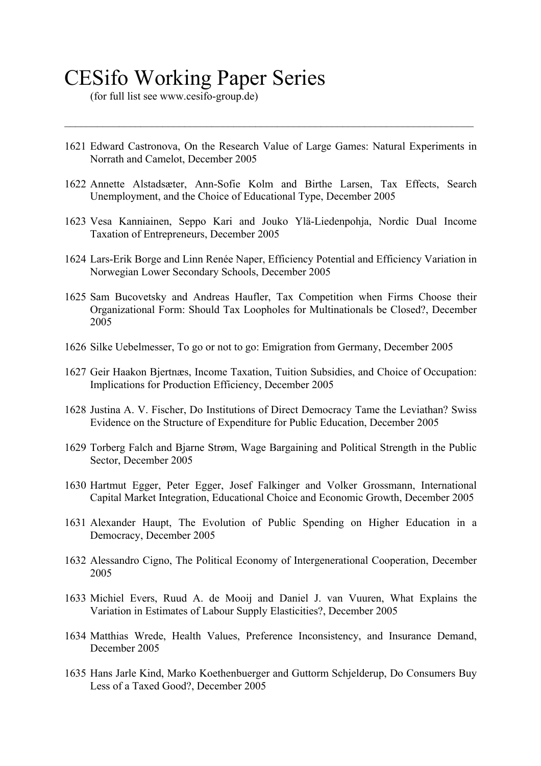# CESifo Working Paper Series

 $($ for full list see www.cesifo-group.de $)$ 

1621 Edward Castronova, On the Research Value of Large Games: Natural Experiments in Norrath and Camelot, December 2005

 $\mathcal{L}_\mathcal{L} = \{ \mathcal{L}_\mathcal{L} = \{ \mathcal{L}_\mathcal{L} = \{ \mathcal{L}_\mathcal{L} = \{ \mathcal{L}_\mathcal{L} = \{ \mathcal{L}_\mathcal{L} = \{ \mathcal{L}_\mathcal{L} = \{ \mathcal{L}_\mathcal{L} = \{ \mathcal{L}_\mathcal{L} = \{ \mathcal{L}_\mathcal{L} = \{ \mathcal{L}_\mathcal{L} = \{ \mathcal{L}_\mathcal{L} = \{ \mathcal{L}_\mathcal{L} = \{ \mathcal{L}_\mathcal{L} = \{ \mathcal{L}_\mathcal{$ 

- 1622 Annette Alstadsæter, Ann-Sofie Kolm and Birthe Larsen, Tax Effects, Search Unemployment, and the Choice of Educational Type, December 2005
- 1623 Vesa Kanniainen, Seppo Kari and Jouko Ylä-Liedenpohja, Nordic Dual Income Taxation of Entrepreneurs, December 2005
- 1624 Lars-Erik Borge and Linn Renée Naper, Efficiency Potential and Efficiency Variation in Norwegian Lower Secondary Schools, December 2005
- 1625 Sam Bucovetsky and Andreas Haufler, Tax Competition when Firms Choose their Organizational Form: Should Tax Loopholes for Multinationals be Closed?, December 2005
- 1626 Silke Uebelmesser, To go or not to go: Emigration from Germany, December 2005
- 1627 Geir Haakon Bjertnæs, Income Taxation, Tuition Subsidies, and Choice of Occupation: Implications for Production Efficiency, December 2005
- 1628 Justina A. V. Fischer, Do Institutions of Direct Democracy Tame the Leviathan? Swiss Evidence on the Structure of Expenditure for Public Education, December 2005
- 1629 Torberg Falch and Bjarne Strøm, Wage Bargaining and Political Strength in the Public Sector, December 2005
- 1630 Hartmut Egger, Peter Egger, Josef Falkinger and Volker Grossmann, International Capital Market Integration, Educational Choice and Economic Growth, December 2005
- 1631 Alexander Haupt, The Evolution of Public Spending on Higher Education in a Democracy, December 2005
- 1632 Alessandro Cigno, The Political Economy of Intergenerational Cooperation, December 2005
- 1633 Michiel Evers, Ruud A. de Mooij and Daniel J. van Vuuren, What Explains the Variation in Estimates of Labour Supply Elasticities?, December 2005
- 1634 Matthias Wrede, Health Values, Preference Inconsistency, and Insurance Demand, December 2005
- 1635 Hans Jarle Kind, Marko Koethenbuerger and Guttorm Schjelderup, Do Consumers Buy Less of a Taxed Good?, December 2005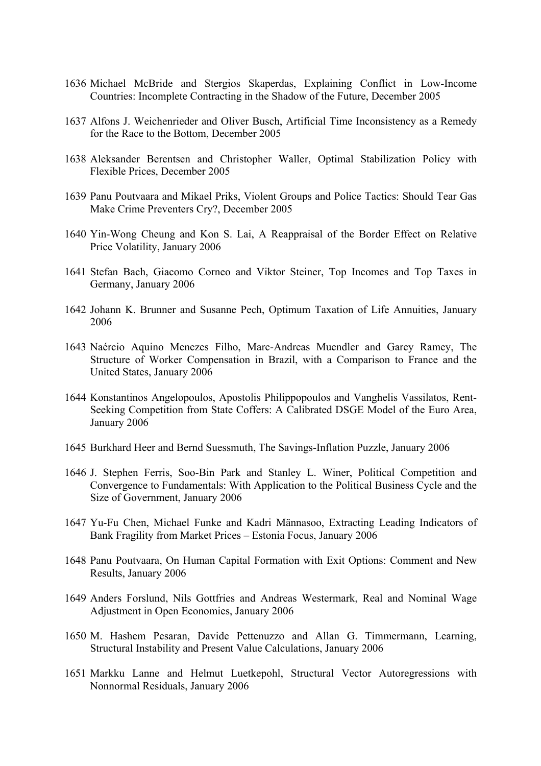- 1636 Michael McBride and Stergios Skaperdas, Explaining Conflict in Low-Income Countries: Incomplete Contracting in the Shadow of the Future, December 2005
- 1637 Alfons J. Weichenrieder and Oliver Busch, Artificial Time Inconsistency as a Remedy for the Race to the Bottom, December 2005
- 1638 Aleksander Berentsen and Christopher Waller, Optimal Stabilization Policy with Flexible Prices, December 2005
- 1639 Panu Poutvaara and Mikael Priks, Violent Groups and Police Tactics: Should Tear Gas Make Crime Preventers Cry?, December 2005
- 1640 Yin-Wong Cheung and Kon S. Lai, A Reappraisal of the Border Effect on Relative Price Volatility, January 2006
- 1641 Stefan Bach, Giacomo Corneo and Viktor Steiner, Top Incomes and Top Taxes in Germany, January 2006
- 1642 Johann K. Brunner and Susanne Pech, Optimum Taxation of Life Annuities, January 2006
- 1643 Naércio Aquino Menezes Filho, Marc-Andreas Muendler and Garey Ramey, The Structure of Worker Compensation in Brazil, with a Comparison to France and the United States, January 2006
- 1644 Konstantinos Angelopoulos, Apostolis Philippopoulos and Vanghelis Vassilatos, Rent-Seeking Competition from State Coffers: A Calibrated DSGE Model of the Euro Area, January 2006
- 1645 Burkhard Heer and Bernd Suessmuth, The Savings-Inflation Puzzle, January 2006
- 1646 J. Stephen Ferris, Soo-Bin Park and Stanley L. Winer, Political Competition and Convergence to Fundamentals: With Application to the Political Business Cycle and the Size of Government, January 2006
- 1647 Yu-Fu Chen, Michael Funke and Kadri Männasoo, Extracting Leading Indicators of Bank Fragility from Market Prices – Estonia Focus, January 2006
- 1648 Panu Poutvaara, On Human Capital Formation with Exit Options: Comment and New Results, January 2006
- 1649 Anders Forslund, Nils Gottfries and Andreas Westermark, Real and Nominal Wage Adjustment in Open Economies, January 2006
- 1650 M. Hashem Pesaran, Davide Pettenuzzo and Allan G. Timmermann, Learning, Structural Instability and Present Value Calculations, January 2006
- 1651 Markku Lanne and Helmut Luetkepohl, Structural Vector Autoregressions with Nonnormal Residuals, January 2006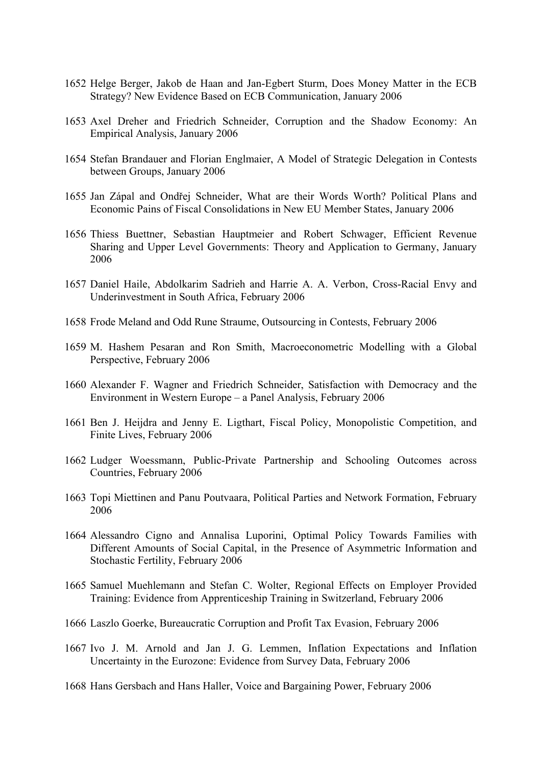- 1652 Helge Berger, Jakob de Haan and Jan-Egbert Sturm, Does Money Matter in the ECB Strategy? New Evidence Based on ECB Communication, January 2006
- 1653 Axel Dreher and Friedrich Schneider, Corruption and the Shadow Economy: An Empirical Analysis, January 2006
- 1654 Stefan Brandauer and Florian Englmaier, A Model of Strategic Delegation in Contests between Groups, January 2006
- 1655 Jan Zápal and Ondřej Schneider, What are their Words Worth? Political Plans and Economic Pains of Fiscal Consolidations in New EU Member States, January 2006
- 1656 Thiess Buettner, Sebastian Hauptmeier and Robert Schwager, Efficient Revenue Sharing and Upper Level Governments: Theory and Application to Germany, January 2006
- 1657 Daniel Haile, Abdolkarim Sadrieh and Harrie A. A. Verbon, Cross-Racial Envy and Underinvestment in South Africa, February 2006
- 1658 Frode Meland and Odd Rune Straume, Outsourcing in Contests, February 2006
- 1659 M. Hashem Pesaran and Ron Smith, Macroeconometric Modelling with a Global Perspective, February 2006
- 1660 Alexander F. Wagner and Friedrich Schneider, Satisfaction with Democracy and the Environment in Western Europe – a Panel Analysis, February 2006
- 1661 Ben J. Heijdra and Jenny E. Ligthart, Fiscal Policy, Monopolistic Competition, and Finite Lives, February 2006
- 1662 Ludger Woessmann, Public-Private Partnership and Schooling Outcomes across Countries, February 2006
- 1663 Topi Miettinen and Panu Poutvaara, Political Parties and Network Formation, February 2006
- 1664 Alessandro Cigno and Annalisa Luporini, Optimal Policy Towards Families with Different Amounts of Social Capital, in the Presence of Asymmetric Information and Stochastic Fertility, February 2006
- 1665 Samuel Muehlemann and Stefan C. Wolter, Regional Effects on Employer Provided Training: Evidence from Apprenticeship Training in Switzerland, February 2006
- 1666 Laszlo Goerke, Bureaucratic Corruption and Profit Tax Evasion, February 2006
- 1667 Ivo J. M. Arnold and Jan J. G. Lemmen, Inflation Expectations and Inflation Uncertainty in the Eurozone: Evidence from Survey Data, February 2006
- 1668 Hans Gersbach and Hans Haller, Voice and Bargaining Power, February 2006